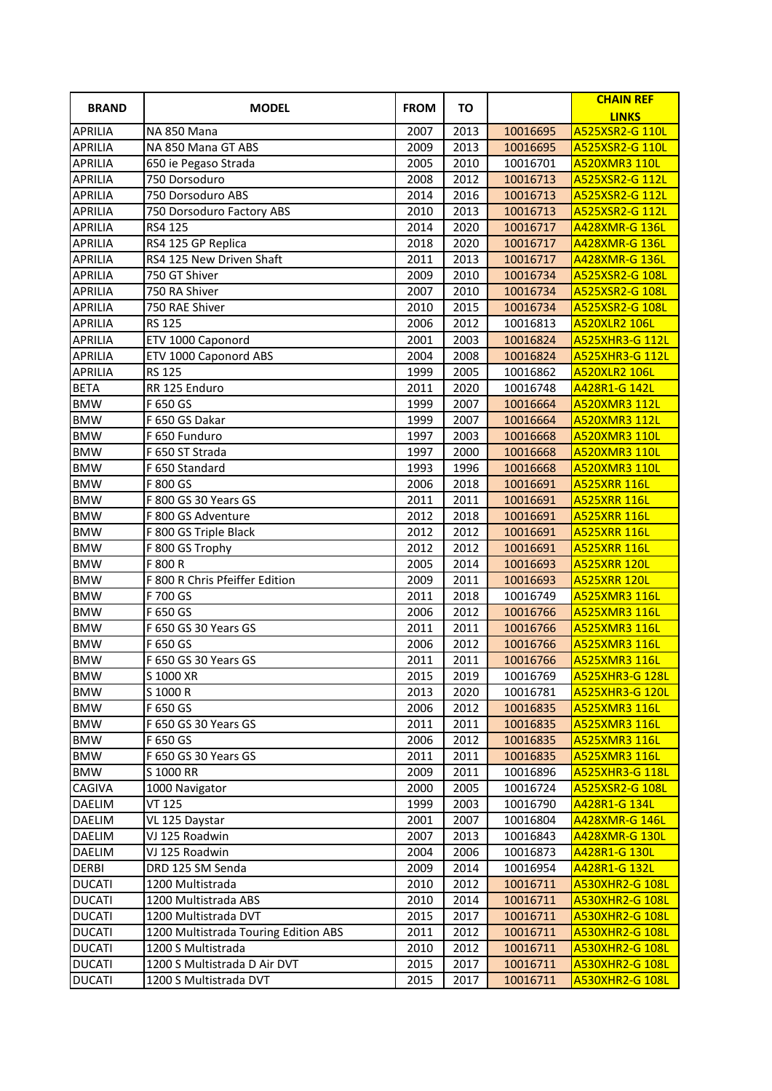| <b>BRAND</b>   | <b>MODEL</b>                         | <b>FROM</b> | TO   |          | <b>CHAIN REF</b><br><b>LINKS</b> |
|----------------|--------------------------------------|-------------|------|----------|----------------------------------|
| <b>APRILIA</b> | NA 850 Mana                          | 2007        | 2013 | 10016695 | A525XSR2-G 110L                  |
| <b>APRILIA</b> | NA 850 Mana GT ABS                   | 2009        | 2013 | 10016695 | A525XSR2-G 110L                  |
| <b>APRILIA</b> | 650 ie Pegaso Strada                 | 2005        | 2010 | 10016701 | <b>A520XMR3 110L</b>             |
| <b>APRILIA</b> | 750 Dorsoduro                        | 2008        | 2012 | 10016713 | A525XSR2-G 112L                  |
| <b>APRILIA</b> | 750 Dorsoduro ABS                    | 2014        | 2016 | 10016713 | A525XSR2-G 112L                  |
| <b>APRILIA</b> | 750 Dorsoduro Factory ABS            | 2010        | 2013 | 10016713 | A525XSR2-G 112L                  |
| <b>APRILIA</b> | RS4 125                              | 2014        | 2020 | 10016717 | A428XMR-G 136L                   |
| <b>APRILIA</b> | RS4 125 GP Replica                   | 2018        | 2020 | 10016717 | A428XMR-G 136L                   |
| <b>APRILIA</b> | RS4 125 New Driven Shaft             | 2011        | 2013 | 10016717 | <b>A428XMR-G 136L</b>            |
| <b>APRILIA</b> | 750 GT Shiver                        | 2009        | 2010 | 10016734 | A525XSR2-G 108L                  |
| <b>APRILIA</b> | 750 RA Shiver                        | 2007        | 2010 | 10016734 | A525XSR2-G 108L                  |
| <b>APRILIA</b> | 750 RAE Shiver                       | 2010        | 2015 | 10016734 | A525XSR2-G 108L                  |
| <b>APRILIA</b> | <b>RS 125</b>                        | 2006        | 2012 | 10016813 | <b>A520XLR2 106L</b>             |
| <b>APRILIA</b> | ETV 1000 Caponord                    | 2001        | 2003 | 10016824 | <b>A525XHR3-G 112L</b>           |
| <b>APRILIA</b> | ETV 1000 Caponord ABS                | 2004        | 2008 | 10016824 | <b>A525XHR3-G 112L</b>           |
| <b>APRILIA</b> | <b>RS 125</b>                        | 1999        | 2005 | 10016862 | <b>A520XLR2 106L</b>             |
| <b>BETA</b>    | RR 125 Enduro                        | 2011        | 2020 | 10016748 | A428R1-G 142L                    |
| <b>BMW</b>     | F 650 GS                             | 1999        | 2007 | 10016664 | A520XMR3 112L                    |
| <b>BMW</b>     | F 650 GS Dakar                       | 1999        | 2007 | 10016664 | A520XMR3 112L                    |
| <b>BMW</b>     | F 650 Funduro                        | 1997        | 2003 | 10016668 | A520XMR3 110L                    |
| <b>BMW</b>     | F 650 ST Strada                      | 1997        | 2000 | 10016668 | A520XMR3 110L                    |
| <b>BMW</b>     | F 650 Standard                       | 1993        | 1996 | 10016668 | A520XMR3 110L                    |
| <b>BMW</b>     | F 800 GS                             | 2006        | 2018 | 10016691 | <b>A525XRR 116L</b>              |
| <b>BMW</b>     | F 800 GS 30 Years GS                 | 2011        | 2011 | 10016691 | <b>A525XRR 116L</b>              |
| <b>BMW</b>     | F 800 GS Adventure                   | 2012        | 2018 | 10016691 | <b>A525XRR 116L</b>              |
| <b>BMW</b>     | F 800 GS Triple Black                | 2012        | 2012 | 10016691 | <b>A525XRR 116L</b>              |
| <b>BMW</b>     | F 800 GS Trophy                      | 2012        | 2012 | 10016691 | <b>A525XRR 116L</b>              |
| <b>BMW</b>     | F 800 R                              | 2005        | 2014 | 10016693 | <b>A525XRR 120L</b>              |
| <b>BMW</b>     | F 800 R Chris Pfeiffer Edition       | 2009        | 2011 | 10016693 | <b>A525XRR 120L</b>              |
| <b>BMW</b>     | F 700 GS                             | 2011        | 2018 | 10016749 | A525XMR3 116L                    |
| <b>BMW</b>     | F 650 GS                             | 2006        | 2012 | 10016766 | <b>A525XMR3 116L</b>             |
| <b>BMW</b>     | F 650 GS 30 Years GS                 | 2011        | 2011 | 10016766 | A525XMR3 116L                    |
| <b>BMW</b>     | F 650 GS                             | 2006        | 2012 | 10016766 | A525XMR3 116L                    |
| <b>BMW</b>     | F 650 GS 30 Years GS                 | 2011        | 2011 | 10016766 | A525XMR3 116L                    |
| <b>BMW</b>     | $\overline{S}$ 1000 XR               | 2015        | 2019 | 10016769 | <b>A525XHR3-G 128L</b>           |
| <b>BMW</b>     | S 1000 R                             | 2013        | 2020 | 10016781 | <b>A525XHR3-G 120L</b>           |
| <b>BMW</b>     | F 650 GS                             | 2006        | 2012 | 10016835 | A525XMR3 116L                    |
| <b>BMW</b>     | F 650 GS 30 Years GS                 | 2011        | 2011 | 10016835 | A525XMR3 116L                    |
| <b>BMW</b>     | F 650 GS                             | 2006        | 2012 | 10016835 | A525XMR3 116L                    |
| <b>BMW</b>     | F 650 GS 30 Years GS                 | 2011        | 2011 | 10016835 | A525XMR3 116L                    |
| <b>BMW</b>     | S 1000 RR                            | 2009        | 2011 | 10016896 | <b>A525XHR3-G 118L</b>           |
| CAGIVA         | 1000 Navigator                       | 2000        | 2005 | 10016724 | A525XSR2-G 108L                  |
| <b>DAELIM</b>  | <b>VT 125</b>                        | 1999        | 2003 | 10016790 | A428R1-G 134L                    |
| <b>DAELIM</b>  | VL 125 Daystar                       | 2001        | 2007 | 10016804 | A428XMR-G 146L                   |
| <b>DAELIM</b>  | VJ 125 Roadwin                       | 2007        | 2013 | 10016843 | <b>A428XMR-G 130L</b>            |
| <b>DAELIM</b>  | VJ 125 Roadwin                       | 2004        | 2006 | 10016873 | A428R1-G 130L                    |
| <b>DERBI</b>   | DRD 125 SM Senda                     | 2009        | 2014 | 10016954 | A428R1-G 132L                    |
| <b>DUCATI</b>  | 1200 Multistrada                     | 2010        | 2012 | 10016711 | <b>A530XHR2-G 108L</b>           |
| <b>DUCATI</b>  | 1200 Multistrada ABS                 | 2010        | 2014 | 10016711 | <b>A530XHR2-G 108L</b>           |
| <b>DUCATI</b>  | 1200 Multistrada DVT                 | 2015        | 2017 | 10016711 | <b>A530XHR2-G 108L</b>           |
| <b>DUCATI</b>  | 1200 Multistrada Touring Edition ABS | 2011        | 2012 | 10016711 | <b>A530XHR2-G 108L</b>           |
| <b>DUCATI</b>  | 1200 S Multistrada                   | 2010        | 2012 | 10016711 | <b>A530XHR2-G 108L</b>           |
| <b>DUCATI</b>  | 1200 S Multistrada D Air DVT         | 2015        | 2017 | 10016711 | <b>A530XHR2-G 108L</b>           |
| <b>DUCATI</b>  | 1200 S Multistrada DVT               | 2015        | 2017 | 10016711 | <b>A530XHR2-G 108L</b>           |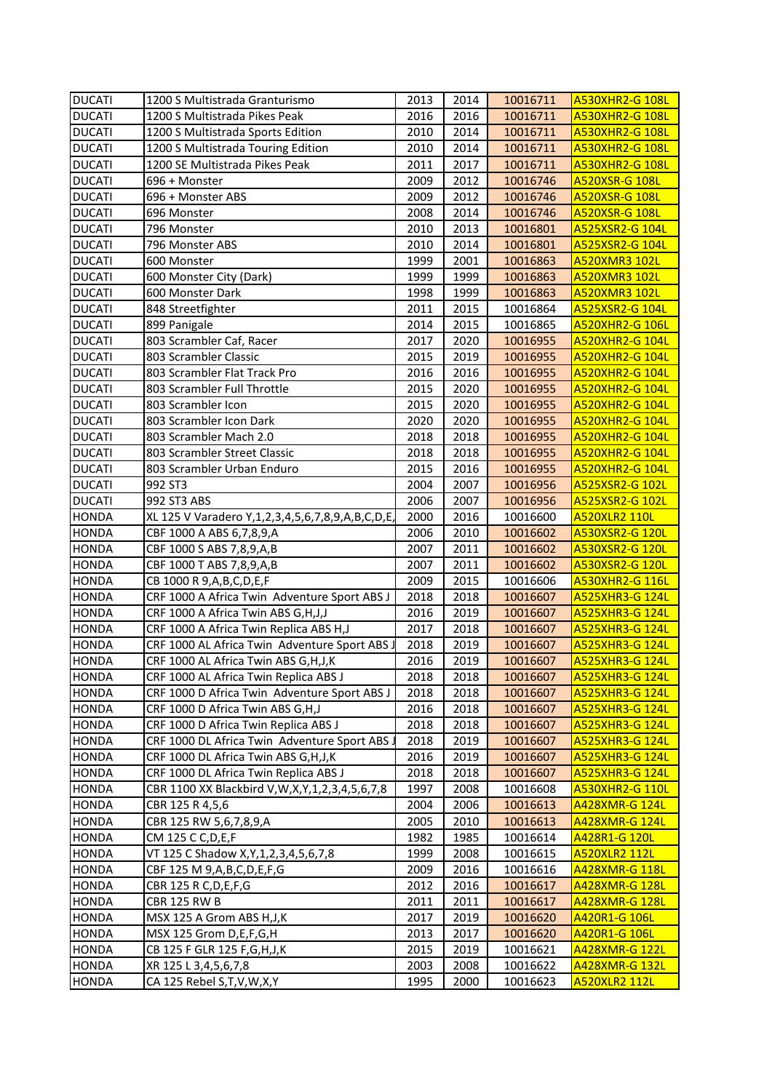| <b>DUCATI</b> | 1200 S Multistrada Granturismo                                 | 2013 | 2014 | 10016711 | <b>A530XHR2-G 108L</b> |
|---------------|----------------------------------------------------------------|------|------|----------|------------------------|
| <b>DUCATI</b> | 1200 S Multistrada Pikes Peak                                  | 2016 | 2016 | 10016711 | <b>A530XHR2-G 108L</b> |
| <b>DUCATI</b> | 1200 S Multistrada Sports Edition                              | 2010 | 2014 | 10016711 | <b>A530XHR2-G 108L</b> |
| <b>DUCATI</b> | 1200 S Multistrada Touring Edition                             | 2010 | 2014 | 10016711 | <b>A530XHR2-G 108L</b> |
| <b>DUCATI</b> | 1200 SE Multistrada Pikes Peak                                 | 2011 | 2017 | 10016711 | <b>A530XHR2-G 108L</b> |
| <b>DUCATI</b> | 696 + Monster                                                  | 2009 | 2012 | 10016746 | A520XSR-G 108L         |
| <b>DUCATI</b> | 696 + Monster ABS                                              | 2009 | 2012 | 10016746 | A520XSR-G 108L         |
| <b>DUCATI</b> | 696 Monster                                                    | 2008 | 2014 | 10016746 | A520XSR-G 108L         |
| <b>DUCATI</b> | 796 Monster                                                    | 2010 | 2013 | 10016801 | A525XSR2-G 104L        |
| <b>DUCATI</b> | 796 Monster ABS                                                | 2010 | 2014 | 10016801 | A525XSR2-G 104L        |
| <b>DUCATI</b> | 600 Monster                                                    | 1999 | 2001 | 10016863 | <b>A520XMR3 102L</b>   |
| <b>DUCATI</b> | 600 Monster City (Dark)                                        | 1999 | 1999 | 10016863 | A520XMR3 102L          |
| <b>DUCATI</b> | 600 Monster Dark                                               | 1998 | 1999 | 10016863 | <b>A520XMR3 102L</b>   |
| <b>DUCATI</b> | 848 Streetfighter                                              | 2011 | 2015 | 10016864 | A525XSR2-G 104L        |
| <b>DUCATI</b> | 899 Panigale                                                   | 2014 | 2015 | 10016865 | <b>A520XHR2-G 106L</b> |
| <b>DUCATI</b> | 803 Scrambler Caf, Racer                                       | 2017 | 2020 | 10016955 | <b>A520XHR2-G 104L</b> |
| <b>DUCATI</b> | 803 Scrambler Classic                                          | 2015 | 2019 | 10016955 | <b>A520XHR2-G 104L</b> |
| <b>DUCATI</b> | 803 Scrambler Flat Track Pro                                   | 2016 | 2016 | 10016955 | <b>A520XHR2-G 104L</b> |
| <b>DUCATI</b> | 803 Scrambler Full Throttle                                    | 2015 | 2020 | 10016955 | <b>A520XHR2-G 104L</b> |
| <b>DUCATI</b> | 803 Scrambler Icon                                             | 2015 | 2020 | 10016955 | <b>A520XHR2-G 104L</b> |
| <b>DUCATI</b> | 803 Scrambler Icon Dark                                        | 2020 | 2020 | 10016955 | <b>A520XHR2-G 104L</b> |
| <b>DUCATI</b> | 803 Scrambler Mach 2.0                                         | 2018 | 2018 | 10016955 | <b>A520XHR2-G 104L</b> |
| <b>DUCATI</b> | 803 Scrambler Street Classic                                   | 2018 | 2018 | 10016955 | <b>A520XHR2-G 104L</b> |
| <b>DUCATI</b> | 803 Scrambler Urban Enduro                                     | 2015 | 2016 | 10016955 | <b>A520XHR2-G 104L</b> |
| <b>DUCATI</b> | 992 ST3                                                        | 2004 | 2007 | 10016956 | A525XSR2-G 102L        |
| <b>DUCATI</b> | 992 ST3 ABS                                                    | 2006 | 2007 | 10016956 | A525XSR2-G 102L        |
| <b>HONDA</b>  | XL 125 V Varadero Y, 1, 2, 3, 4, 5, 6, 7, 8, 9, A, B, C, D, E, | 2000 | 2016 | 10016600 | <b>A520XLR2 110L</b>   |
| <b>HONDA</b>  | CBF 1000 A ABS 6,7,8,9,A                                       | 2006 | 2010 | 10016602 | A530XSR2-G 120L        |
| <b>HONDA</b>  | CBF 1000 S ABS 7,8,9,A,B                                       | 2007 | 2011 | 10016602 | A530XSR2-G 120L        |
| <b>HONDA</b>  | CBF 1000 T ABS 7,8,9,A,B                                       | 2007 | 2011 | 10016602 | A530XSR2-G 120L        |
| <b>HONDA</b>  | CB 1000 R 9, A, B, C, D, E, F                                  | 2009 | 2015 | 10016606 | A530XHR2-G 116L        |
| <b>HONDA</b>  | CRF 1000 A Africa Twin Adventure Sport ABS J                   | 2018 | 2018 | 10016607 | <b>A525XHR3-G 124L</b> |
| <b>HONDA</b>  | CRF 1000 A Africa Twin ABS G, H, J, J                          | 2016 | 2019 | 10016607 | <b>A525XHR3-G 124L</b> |
| <b>HONDA</b>  | CRF 1000 A Africa Twin Replica ABS H,J                         | 2017 | 2018 | 10016607 | <b>A525XHR3-G 124L</b> |
| <b>HONDA</b>  | CRF 1000 AL Africa Twin Adventure Sport ABS.                   | 2018 | 2019 | 10016607 | A525XHR3-G 124L        |
| <b>HONDA</b>  | CRF 1000 AL Africa Twin ABS G,H,J,K                            | 2016 | 2019 | 10016607 | <b>A525XHR3-G 124L</b> |
| <b>HONDA</b>  | CRF 1000 AL Africa Twin Replica ABS J                          | 2018 | 2018 | 10016607 | <b>A525XHR3-G 124L</b> |
| <b>HONDA</b>  | CRF 1000 D Africa Twin Adventure Sport ABS J                   | 2018 | 2018 | 10016607 | <b>A525XHR3-G 124L</b> |
| <b>HONDA</b>  | CRF 1000 D Africa Twin ABS G,H,J                               | 2016 | 2018 | 10016607 | <b>A525XHR3-G 124L</b> |
| <b>HONDA</b>  | CRF 1000 D Africa Twin Replica ABS J                           | 2018 | 2018 | 10016607 | <b>A525XHR3-G 124L</b> |
| <b>HONDA</b>  | CRF 1000 DL Africa Twin Adventure Sport ABS J                  | 2018 | 2019 | 10016607 | <b>A525XHR3-G 124L</b> |
| <b>HONDA</b>  | CRF 1000 DL Africa Twin ABS G, H, J, K                         | 2016 | 2019 | 10016607 | <b>A525XHR3-G 124L</b> |
| <b>HONDA</b>  | CRF 1000 DL Africa Twin Replica ABS J                          | 2018 | 2018 | 10016607 | <b>A525XHR3-G 124L</b> |
| <b>HONDA</b>  | CBR 1100 XX Blackbird V, W, X, Y, 1, 2, 3, 4, 5, 6, 7, 8       | 1997 | 2008 | 10016608 | <b>A530XHR2-G 110L</b> |
| <b>HONDA</b>  | CBR 125 R 4,5,6                                                | 2004 | 2006 | 10016613 | A428XMR-G 124L         |
| <b>HONDA</b>  | CBR 125 RW 5,6,7,8,9,A                                         | 2005 | 2010 | 10016613 | <b>A428XMR-G 124L</b>  |
| <b>HONDA</b>  | CM 125 C C, D, E, F                                            | 1982 | 1985 | 10016614 | A428R1-G 120L          |
| <b>HONDA</b>  | VT 125 C Shadow X, Y, 1, 2, 3, 4, 5, 6, 7, 8                   | 1999 | 2008 | 10016615 | A520XLR2 112L          |
| <b>HONDA</b>  | CBF 125 M 9, A, B, C, D, E, F, G                               | 2009 | 2016 | 10016616 | A428XMR-G 118L         |
| <b>HONDA</b>  | CBR 125 R C, D, E, F, G                                        | 2012 | 2016 | 10016617 | A428XMR-G 128L         |
| <b>HONDA</b>  | <b>CBR 125 RW B</b>                                            | 2011 | 2011 | 10016617 | A428XMR-G 128L         |
| <b>HONDA</b>  | MSX 125 A Grom ABS H,J,K                                       | 2017 | 2019 | 10016620 | <u>A420R1-G 106L</u>   |
| <b>HONDA</b>  | MSX 125 Grom D,E,F,G,H                                         | 2013 | 2017 | 10016620 | A420R1-G 106L          |
| <b>HONDA</b>  | CB 125 F GLR 125 F, G, H, J, K                                 | 2015 | 2019 | 10016621 | A428XMR-G 122L         |
| <b>HONDA</b>  | XR 125 L 3,4,5,6,7,8                                           | 2003 | 2008 | 10016622 | A428XMR-G 132L         |
| <b>HONDA</b>  | CA 125 Rebel S,T,V,W,X,Y                                       | 1995 | 2000 | 10016623 | A520XLR2 112L          |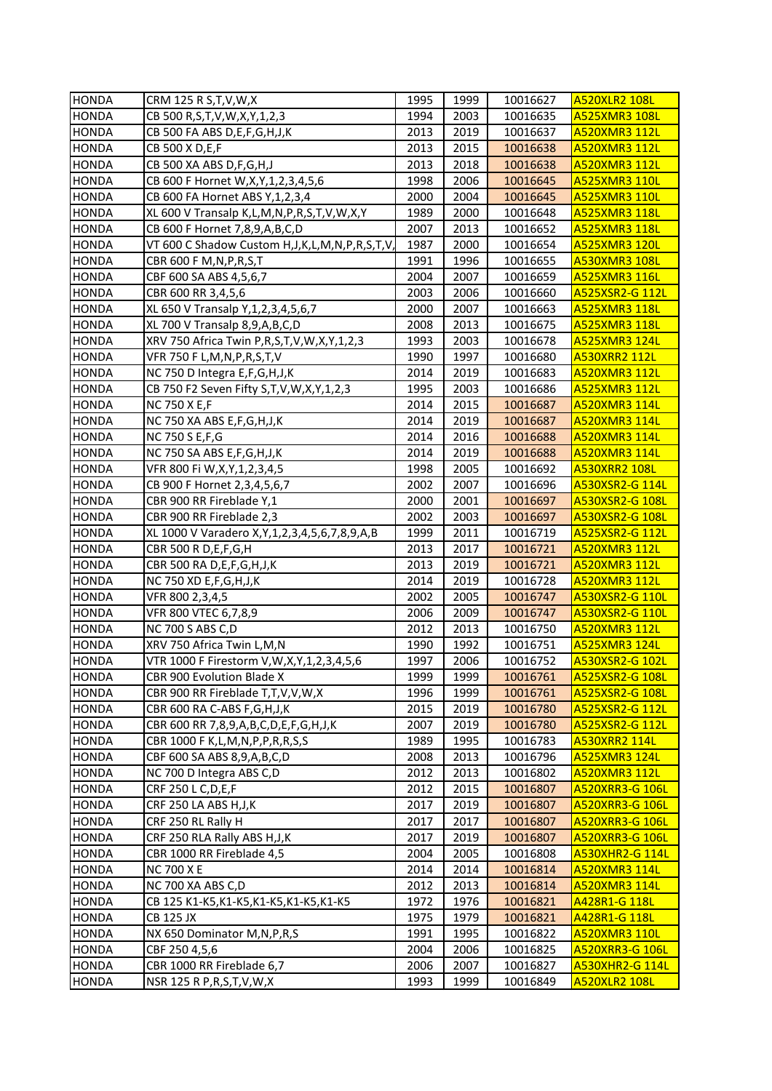| <b>HONDA</b> | CRM 125 R S, T, V, W, X                                  | 1995 | 1999 | 10016627 | <b>A520XLR2 108L</b>   |
|--------------|----------------------------------------------------------|------|------|----------|------------------------|
| <b>HONDA</b> | CB 500 R, S, T, V, W, X, Y, 1, 2, 3                      | 1994 | 2003 | 10016635 | <b>A525XMR3 108L</b>   |
| <b>HONDA</b> | CB 500 FA ABS D, E, F, G, H, J, K                        | 2013 | 2019 | 10016637 | A520XMR3 112L          |
| <b>HONDA</b> | CB 500 X D, E, F                                         | 2013 | 2015 | 10016638 | <b>A520XMR3 112L</b>   |
| <b>HONDA</b> | CB 500 XA ABS D, F, G, H, J                              | 2013 | 2018 | 10016638 | <b>A520XMR3 112L</b>   |
| <b>HONDA</b> | CB 600 F Hornet W, X, Y, 1, 2, 3, 4, 5, 6                | 1998 | 2006 | 10016645 | <b>A525XMR3 110L</b>   |
| <b>HONDA</b> | CB 600 FA Hornet ABS Y, 1, 2, 3, 4                       | 2000 | 2004 | 10016645 | <b>A525XMR3 110L</b>   |
| <b>HONDA</b> | XL 600 V Transalp K,L,M,N,P,R,S,T,V,W,X,Y                | 1989 | 2000 | 10016648 | <b>A525XMR3 118L</b>   |
| <b>HONDA</b> | CB 600 F Hornet 7,8,9,A,B,C,D                            | 2007 | 2013 | 10016652 | <b>A525XMR3 118L</b>   |
| <b>HONDA</b> | VT 600 C Shadow Custom H, J, K, L, M, N, P, R, S, T, V,  | 1987 | 2000 | 10016654 | <b>A525XMR3 120L</b>   |
| <b>HONDA</b> | CBR 600 F M, N, P, R, S, T                               | 1991 | 1996 | 10016655 | A530XMR3 108L          |
| <b>HONDA</b> | CBF 600 SA ABS 4,5,6,7                                   | 2004 | 2007 | 10016659 | <b>A525XMR3 116L</b>   |
| <b>HONDA</b> | CBR 600 RR 3,4,5,6                                       | 2003 | 2006 | 10016660 | A525XSR2-G 112L        |
| <b>HONDA</b> | XL 650 V Transalp Y, 1, 2, 3, 4, 5, 6, 7                 | 2000 | 2007 | 10016663 | A525XMR3 118L          |
| <b>HONDA</b> | XL 700 V Transalp 8,9,A,B,C,D                            | 2008 | 2013 | 10016675 | A525XMR3 118L          |
| <b>HONDA</b> | XRV 750 Africa Twin P,R,S,T,V,W,X,Y,1,2,3                | 1993 | 2003 | 10016678 | A525XMR3 124L          |
| <b>HONDA</b> | VFR 750 F L,M,N,P,R,S,T,V                                | 1990 | 1997 | 10016680 | A530XRR2 112L          |
| <b>HONDA</b> | NC 750 D Integra E,F,G,H,J,K                             | 2014 | 2019 | 10016683 | A520XMR3 112L          |
| <b>HONDA</b> | CB 750 F2 Seven Fifty S, T, V, W, X, Y, 1, 2, 3          | 1995 | 2003 | 10016686 | A525XMR3 112L          |
| <b>HONDA</b> | <b>NC 750 X E,F</b>                                      | 2014 | 2015 | 10016687 | <b>A520XMR3 114L</b>   |
| <b>HONDA</b> | NC 750 XA ABS E,F,G,H,J,K                                | 2014 | 2019 | 10016687 | A520XMR3 114L          |
| <b>HONDA</b> | <b>NC 750 S E, F, G</b>                                  | 2014 | 2016 | 10016688 | <b>A520XMR3 114L</b>   |
| <b>HONDA</b> | NC 750 SA ABS E,F,G,H,J,K                                | 2014 | 2019 | 10016688 | <b>A520XMR3 114L</b>   |
| <b>HONDA</b> | VFR 800 Fi W,X,Y,1,2,3,4,5                               | 1998 | 2005 | 10016692 | A530XRR2 108L          |
| <b>HONDA</b> | CB 900 F Hornet 2,3,4,5,6,7                              | 2002 | 2007 | 10016696 | A530XSR2-G 114L        |
| <b>HONDA</b> | CBR 900 RR Fireblade Y,1                                 | 2000 | 2001 | 10016697 | A530XSR2-G 108L        |
| <b>HONDA</b> | CBR 900 RR Fireblade 2,3                                 | 2002 | 2003 | 10016697 | A530XSR2-G 108L        |
| <b>HONDA</b> | XL 1000 V Varadero X, Y, 1, 2, 3, 4, 5, 6, 7, 8, 9, A, B | 1999 | 2011 | 10016719 | A525XSR2-G 112L        |
| <b>HONDA</b> | CBR 500 R D, E, F, G, H                                  | 2013 | 2017 | 10016721 | A520XMR3 112L          |
| <b>HONDA</b> | CBR 500 RA D, E, F, G, H, J, K                           | 2013 | 2019 | 10016721 | A520XMR3 112L          |
| <b>HONDA</b> | NC 750 XD E, F, G, H, J, K                               | 2014 | 2019 | 10016728 | A520XMR3 112L          |
| <b>HONDA</b> | VFR 800 2,3,4,5                                          | 2002 | 2005 | 10016747 | A530XSR2-G 110L        |
| <b>HONDA</b> | VFR 800 VTEC 6,7,8,9                                     | 2006 | 2009 | 10016747 | A530XSR2-G 110L        |
| <b>HONDA</b> | NC 700 S ABS C,D                                         | 2012 | 2013 | 10016750 | A520XMR3 112L          |
| <b>HONDA</b> | XRV 750 Africa Twin L,M,N                                | 1990 | 1992 | 10016751 | A525XMR3 124L          |
| <b>HONDA</b> | VTR 1000 F Firestorm V,W,X,Y,1,2,3,4,5,6                 | 1997 | 2006 | 10016752 | A530XSR2-G 102L        |
| HONDA        | CBR 900 Evolution Blade X                                | 1999 | 1999 | 10016761 | <b>A525XSR2-G 108L</b> |
| <b>HONDA</b> | CBR 900 RR Fireblade T,T,V,V,W,X                         | 1996 | 1999 | 10016761 | A525XSR2-G 108L        |
| <b>HONDA</b> | CBR 600 RA C-ABS F, G, H, J, K                           | 2015 | 2019 | 10016780 | A525XSR2-G 112L        |
| <b>HONDA</b> | CBR 600 RR 7,8,9,A,B,C,D,E,F,G,H,J,K                     | 2007 | 2019 | 10016780 | A525XSR2-G 112L        |
| <b>HONDA</b> | CBR 1000 F K, L, M, N, P, P, R, R, S, S                  | 1989 | 1995 | 10016783 | A530XRR2 114L          |
| <b>HONDA</b> | CBF 600 SA ABS 8,9,A,B,C,D                               | 2008 | 2013 | 10016796 | A525XMR3 124L          |
| <b>HONDA</b> | NC 700 D Integra ABS C,D                                 | 2012 | 2013 | 10016802 | A520XMR3 112L          |
| <b>HONDA</b> | CRF 250 L C, D, E, F                                     | 2012 | 2015 | 10016807 | A520XRR3-G 106L        |
| <b>HONDA</b> | CRF 250 LA ABS H, J, K                                   | 2017 | 2019 | 10016807 | A520XRR3-G 106L        |
| <b>HONDA</b> | CRF 250 RL Rally H                                       | 2017 | 2017 | 10016807 | <b>A520XRR3-G 106L</b> |
| <b>HONDA</b> | CRF 250 RLA Rally ABS H, J, K                            | 2017 | 2019 | 10016807 | <b>A520XRR3-G 106L</b> |
| <b>HONDA</b> | CBR 1000 RR Fireblade 4,5                                | 2004 | 2005 | 10016808 | A530XHR2-G 114L        |
| <b>HONDA</b> | <b>NC 700 X E</b>                                        | 2014 | 2014 | 10016814 | A520XMR3 114L          |
| <b>HONDA</b> | NC 700 XA ABS C,D                                        | 2012 | 2013 | 10016814 | A520XMR3 114L          |
| <b>HONDA</b> | CB 125 K1-K5, K1-K5, K1-K5, K1-K5, K1-K5                 | 1972 | 1976 | 10016821 | A428R1-G 118L          |
| <b>HONDA</b> | <b>CB 125 JX</b>                                         | 1975 | 1979 | 10016821 | A428R1-G 118L          |
| <b>HONDA</b> | NX 650 Dominator M, N, P, R, S                           | 1991 | 1995 | 10016822 | A520XMR3 110L          |
| <b>HONDA</b> | CBF 250 4,5,6                                            | 2004 | 2006 | 10016825 | A520XRR3-G 106L        |
| <b>HONDA</b> | CBR 1000 RR Fireblade 6,7                                | 2006 | 2007 | 10016827 | <b>A530XHR2-G 114L</b> |
| <b>HONDA</b> | NSR 125 R P, R, S, T, V, W, X                            | 1993 | 1999 | 10016849 | <b>A520XLR2 108L</b>   |
|              |                                                          |      |      |          |                        |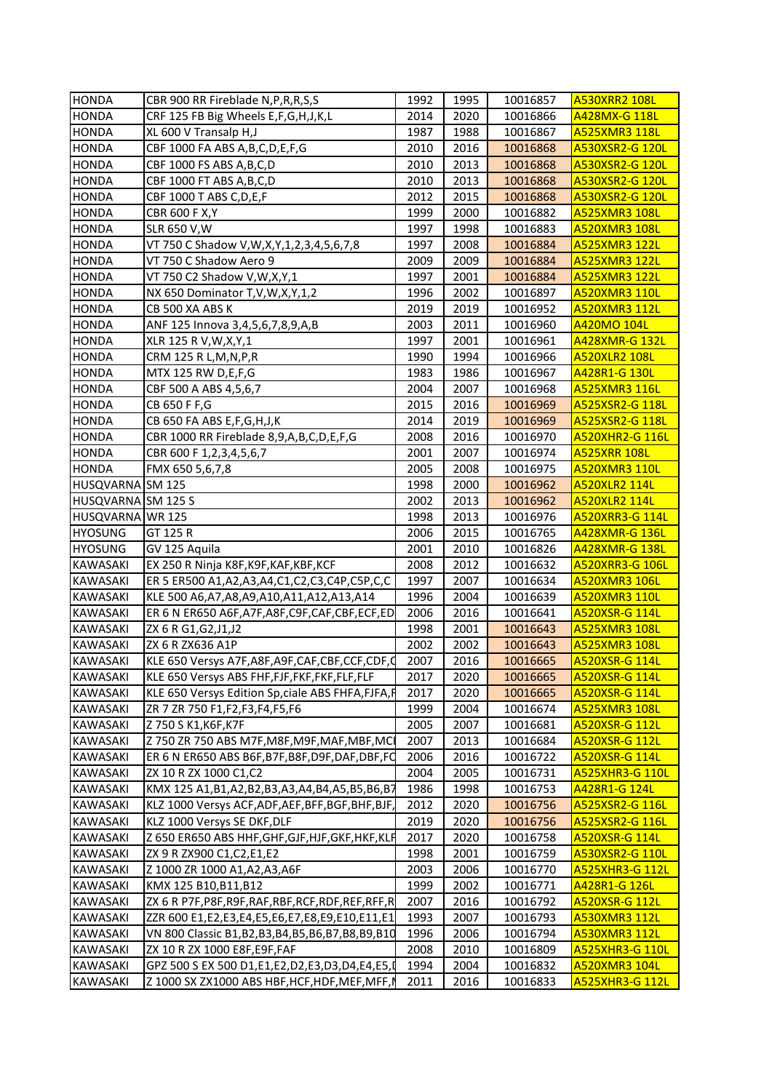| <b>HONDA</b><br>CRF 125 FB Big Wheels E,F,G,H,J,K,L<br>2014<br>2020<br>10016866<br>A428MX-G 118L<br><b>HONDA</b><br>XL 600 V Transalp H,J<br>1987<br>1988<br>10016867<br>A525XMR3 118L<br><b>HONDA</b><br>CBF 1000 FA ABS A, B, C, D, E, F, G<br>2010<br>2016<br>10016868<br>A530XSR2-G 120L<br><b>HONDA</b><br>CBF 1000 FS ABS A, B, C, D<br>2010<br>2013<br>A530XSR2-G 120L<br>10016868<br><b>HONDA</b><br>CBF 1000 FT ABS A, B, C, D<br>2013<br>A530XSR2-G 120L<br>2010<br>10016868<br><b>HONDA</b><br>CBF 1000 T ABS C, D, E, F<br>2012<br>2015<br>A530XSR2-G 120L<br>10016868<br><b>HONDA</b><br><b>CBR 600 F X, Y</b><br>1999<br>2000<br><b>A525XMR3 108L</b><br>10016882<br><b>HONDA</b><br>SLR 650 V, W<br>1997<br>1998<br>10016883<br><b>A520XMR3 108L</b><br><b>HONDA</b><br>VT 750 C Shadow V, W, X, Y, 1, 2, 3, 4, 5, 6, 7, 8<br>1997<br>2008<br>10016884<br><b>A525XMR3 122L</b><br><b>HONDA</b><br>VT 750 C Shadow Aero 9<br>2009<br>A525XMR3 122L<br>2009<br>10016884<br><b>HONDA</b><br>VT 750 C2 Shadow V, W, X, Y, 1<br>1997<br>2001<br>10016884<br>A525XMR3 122L<br>2002<br><b>HONDA</b><br>NX 650 Dominator T, V, W, X, Y, 1, 2<br>1996<br>10016897<br><b>A520XMR3 110L</b><br>2019<br>2019<br><b>HONDA</b><br>CB 500 XA ABS K<br>10016952<br>A520XMR3 112L<br>2003<br>2011<br>A420MO 104L<br><b>HONDA</b><br>ANF 125 Innova 3,4,5,6,7,8,9,A,B<br>10016960<br>1997<br>A428XMR-G 132L<br><b>HONDA</b><br>XLR 125 R V, W, X, Y, 1<br>2001<br>10016961<br>1994<br><b>HONDA</b><br>CRM 125 R L, M, N, P, R<br>1990<br>10016966<br><b>A520XLR2 108L</b><br><b>HONDA</b><br>1983<br>1986<br>MTX 125 RW D,E,F,G<br>10016967<br>A428R1-G 130L<br><b>HONDA</b><br>CBF 500 A ABS 4,5,6,7<br>2004<br>2007<br>10016968<br>A525XMR3 116L<br><b>HONDA</b><br>CB 650 F F,G<br>2015<br>2016<br>10016969<br>A525XSR2-G 118L<br><b>HONDA</b><br>CB 650 FA ABS E, F, G, H, J, K<br>2014<br>2019<br>10016969<br><u>A525XSR2-G 118L</u><br><b>HONDA</b><br>2016<br>CBR 1000 RR Fireblade 8,9,A,B,C,D,E,F,G<br>2008<br>10016970<br><b>A520XHR2-G 116L</b><br><b>HONDA</b><br>CBR 600 F 1, 2, 3, 4, 5, 6, 7<br>2001<br>2007<br>10016974<br><b>A525XRR 108L</b><br><b>HONDA</b><br>FMX 650 5,6,7,8<br>2005<br>2008<br><b>A520XMR3 110L</b><br>10016975<br>HUSQVARNA SM 125<br>1998<br>2000<br>10016962<br>A520XLR2 114L<br>HUSQVARNA SM 125 S<br>2002<br>2013<br>10016962<br>A520XLR2 114L<br>2013<br>HUSQVARNA WR 125<br>1998<br>10016976<br>A520XRR3-G 114L<br><b>HYOSUNG</b><br>GT 125 R<br>2006<br>2015<br>10016765<br><b>A428XMR-G 136L</b><br><b>HYOSUNG</b><br>GV 125 Aquila<br>2001<br>2010<br>10016826<br>A428XMR-G 138L<br>EX 250 R Ninja K8F, K9F, KAF, KBF, KCF<br>2008<br>2012<br>10016632<br><b>A520XRR3-G 106L</b><br>KAWASAKI<br>ER 5 ER500 A1, A2, A3, A4, C1, C2, C3, C4P, C5P, C, C<br>1997<br><b>A520XMR3 106L</b><br><b>KAWASAKI</b><br>2007<br>10016634<br>KLE 500 A6, A7, A8, A9, A10, A11, A12, A13, A14<br>1996<br>2004<br><b>A520XMR3 110L</b><br><b>KAWASAKI</b><br>10016639<br><b>KAWASAKI</b><br>2006<br>2016<br>A520XSR-G 114L<br>ER 6 N ER650 A6F, A7F, A8F, C9F, CAF, CBF, ECF, ED<br>10016641<br><b>KAWASAKI</b><br>1998<br>2001<br>ZX 6 R G1, G2, J1, J2<br>10016643<br><b>A525XMR3 108L</b><br>2002<br><b>KAWASAKI</b><br>ZX 6 R ZX636 A1P<br>2002<br>10016643<br><b>A525XMR3 108L</b><br><b>KAWASAKI</b><br>KLE 650 Versys A7F, A8F, A9F, CAF, CBF, CCF, CDF, C<br>2007<br>2016<br>A520XSR-G 114L<br>10016665<br><b>KAWASAKI</b><br>A520XSR-G 114L<br>KLE 650 Versys ABS FHF, FJF, FKF, FKF, FLF, FLF<br>2017<br>2020<br>10016665<br><b>KAWASAKI</b><br>KLE 650 Versys Edition Sp, ciale ABS FHFA, FJFA, F<br>2017<br>2020<br>10016665<br><b>A520XSR-G 114L</b><br><b>KAWASAKI</b><br>1999<br>2004<br>10016674<br><b>A525XMR3 108L</b><br>ZR 7 ZR 750 F1,F2,F3,F4,F5,F6<br><b>KAWASAKI</b><br>Z 750 S K1, K6F, K7F<br>2005<br>2007<br>10016681<br>A520XSR-G 112L<br><b>KAWASAKI</b><br>Z 750 ZR 750 ABS M7F, M8F, M9F, MAF, MBF, MC<br>2007<br>2013<br>10016684<br>A520XSR-G 112L<br><b>KAWASAKI</b><br>2006<br>2016<br>ER 6 N ER650 ABS B6F, B7F, B8F, D9F, DAF, DBF, FO<br>10016722<br>A520XSR-G 114L<br><b>KAWASAKI</b><br>2004<br>2005<br>ZX 10 R ZX 1000 C1, C2<br>10016731<br><b>A525XHR3-G 110L</b><br><b>KAWASAKI</b><br>1986<br>KMX 125 A1, B1, A2, B2, B3, A3, A4, B4, A5, B5, B6, B7<br>1998<br>10016753<br>A428R1-G 124L<br><b>KAWASAKI</b><br>KLZ 1000 Versys ACF, ADF, AEF, BFF, BGF, BHF, BJF,<br>2012<br>2020<br>10016756<br>A525XSR2-G 116L<br><b>KAWASAKI</b><br>KLZ 1000 Versys SE DKF, DLF<br>2019<br>2020<br>10016756<br>A525XSR2-G 116L<br>2020<br><b>KAWASAKI</b><br>Z 650 ER650 ABS HHF, GHF, GJF, HJF, GKF, HKF, KLF<br>2017<br>10016758<br>A520XSR-G 114L<br>KAWASAKI<br>ZX 9 R ZX900 C1, C2, E1, E2<br>1998<br>2001<br>10016759<br>A530XSR2-G 110L<br>2006<br><b>KAWASAKI</b><br>Z 1000 ZR 1000 A1,A2,A3,A6F<br>2003<br>10016770<br><b>A525XHR3-G 112L</b><br>1999<br>2002<br><b>KAWASAKI</b><br>KMX 125 B10, B11, B12<br>10016771<br>A428R1-G 126L<br><b>KAWASAKI</b><br>2016<br>ZX 6 R P7F, P8F, R9F, RAF, RBF, RCF, RDF, REF, RFF, R<br>2007<br>10016792<br>A520XSR-G 112L<br><b>KAWASAKI</b><br>1993<br>ZZR 600 E1,E2,E3,E4,E5,E6,E7,E8,E9,E10,E11,E1<br>2007<br>10016793<br>A530XMR3 112L<br><b>KAWASAKI</b><br>1996<br>2006<br>10016794<br>A530XMR3 112L<br>VN 800 Classic B1,B2,B3,B4,B5,B6,B7,B8,B9,B10<br>2010<br><b>KAWASAKI</b><br>2008<br>10016809<br><b>A525XHR3-G 110L</b><br>ZX 10 R ZX 1000 E8F,E9F,FAF<br><b>KAWASAKI</b><br>1994<br>2004<br>GPZ 500 S EX 500 D1,E1,E2,D2,E3,D3,D4,E4,E5,I<br>10016832<br><b>A520XMR3 104L</b><br>KAWASAKI<br>Z 1000 SX ZX1000 ABS HBF, HCF, HDF, MEF, MFF, I<br>2011<br>2016<br>10016833<br><b>A525XHR3-G 112L</b> | <b>HONDA</b> | CBR 900 RR Fireblade N, P, R, R, S, S | 1992 | 1995 | 10016857 | <b>A530XRR2 108L</b> |
|---------------------------------------------------------------------------------------------------------------------------------------------------------------------------------------------------------------------------------------------------------------------------------------------------------------------------------------------------------------------------------------------------------------------------------------------------------------------------------------------------------------------------------------------------------------------------------------------------------------------------------------------------------------------------------------------------------------------------------------------------------------------------------------------------------------------------------------------------------------------------------------------------------------------------------------------------------------------------------------------------------------------------------------------------------------------------------------------------------------------------------------------------------------------------------------------------------------------------------------------------------------------------------------------------------------------------------------------------------------------------------------------------------------------------------------------------------------------------------------------------------------------------------------------------------------------------------------------------------------------------------------------------------------------------------------------------------------------------------------------------------------------------------------------------------------------------------------------------------------------------------------------------------------------------------------------------------------------------------------------------------------------------------------------------------------------------------------------------------------------------------------------------------------------------------------------------------------------------------------------------------------------------------------------------------------------------------------------------------------------------------------------------------------------------------------------------------------------------------------------------------------------------------------------------------------------------------------------------------------------------------------------------------------------------------------------------------------------------------------------------------------------------------------------------------------------------------------------------------------------------------------------------------------------------------------------------------------------------------------------------------------------------------------------------------------------------------------------------------------------------------------------------------------------------------------------------------------------------------------------------------------------------------------------------------------------------------------------------------------------------------------------------------------------------------------------------------------------------------------------------------------------------------------------------------------------------------------------------------------------------------------------------------------------------------------------------------------------------------------------------------------------------------------------------------------------------------------------------------------------------------------------------------------------------------------------------------------------------------------------------------------------------------------------------------------------------------------------------------------------------------------------------------------------------------------------------------------------------------------------------------------------------------------------------------------------------------------------------------------------------------------------------------------------------------------------------------------------------------------------------------------------------------------------------------------------------------------------------------------------------------------------------------------------------------------------------------------------------------------------------------------------------------------------------------------------------------------------------------------------------------------------------------------------------------------------------------------------------------------------------------------------------------------------------------------------------------------------------------------------------------------------------------------------------------------------------------------------------------------------------------------------------------------------------------------------------------------------------------------------------------------------------------------------------------------------------------------------------------------------------------------------------------------------------------------------------------------------------------------------------------------------------------------------------------------------------------------------------------|--------------|---------------------------------------|------|------|----------|----------------------|
|                                                                                                                                                                                                                                                                                                                                                                                                                                                                                                                                                                                                                                                                                                                                                                                                                                                                                                                                                                                                                                                                                                                                                                                                                                                                                                                                                                                                                                                                                                                                                                                                                                                                                                                                                                                                                                                                                                                                                                                                                                                                                                                                                                                                                                                                                                                                                                                                                                                                                                                                                                                                                                                                                                                                                                                                                                                                                                                                                                                                                                                                                                                                                                                                                                                                                                                                                                                                                                                                                                                                                                                                                                                                                                                                                                                                                                                                                                                                                                                                                                                                                                                                                                                                                                                                                                                                                                                                                                                                                                                                                                                                                                                                                                                                                                                                                                                                                                                                                                                                                                                                                                                                                                                                                                                                                                                                                                                                                                                                                                                                                                                                                                                                                                                                 |              |                                       |      |      |          |                      |
|                                                                                                                                                                                                                                                                                                                                                                                                                                                                                                                                                                                                                                                                                                                                                                                                                                                                                                                                                                                                                                                                                                                                                                                                                                                                                                                                                                                                                                                                                                                                                                                                                                                                                                                                                                                                                                                                                                                                                                                                                                                                                                                                                                                                                                                                                                                                                                                                                                                                                                                                                                                                                                                                                                                                                                                                                                                                                                                                                                                                                                                                                                                                                                                                                                                                                                                                                                                                                                                                                                                                                                                                                                                                                                                                                                                                                                                                                                                                                                                                                                                                                                                                                                                                                                                                                                                                                                                                                                                                                                                                                                                                                                                                                                                                                                                                                                                                                                                                                                                                                                                                                                                                                                                                                                                                                                                                                                                                                                                                                                                                                                                                                                                                                                                                 |              |                                       |      |      |          |                      |
|                                                                                                                                                                                                                                                                                                                                                                                                                                                                                                                                                                                                                                                                                                                                                                                                                                                                                                                                                                                                                                                                                                                                                                                                                                                                                                                                                                                                                                                                                                                                                                                                                                                                                                                                                                                                                                                                                                                                                                                                                                                                                                                                                                                                                                                                                                                                                                                                                                                                                                                                                                                                                                                                                                                                                                                                                                                                                                                                                                                                                                                                                                                                                                                                                                                                                                                                                                                                                                                                                                                                                                                                                                                                                                                                                                                                                                                                                                                                                                                                                                                                                                                                                                                                                                                                                                                                                                                                                                                                                                                                                                                                                                                                                                                                                                                                                                                                                                                                                                                                                                                                                                                                                                                                                                                                                                                                                                                                                                                                                                                                                                                                                                                                                                                                 |              |                                       |      |      |          |                      |
|                                                                                                                                                                                                                                                                                                                                                                                                                                                                                                                                                                                                                                                                                                                                                                                                                                                                                                                                                                                                                                                                                                                                                                                                                                                                                                                                                                                                                                                                                                                                                                                                                                                                                                                                                                                                                                                                                                                                                                                                                                                                                                                                                                                                                                                                                                                                                                                                                                                                                                                                                                                                                                                                                                                                                                                                                                                                                                                                                                                                                                                                                                                                                                                                                                                                                                                                                                                                                                                                                                                                                                                                                                                                                                                                                                                                                                                                                                                                                                                                                                                                                                                                                                                                                                                                                                                                                                                                                                                                                                                                                                                                                                                                                                                                                                                                                                                                                                                                                                                                                                                                                                                                                                                                                                                                                                                                                                                                                                                                                                                                                                                                                                                                                                                                 |              |                                       |      |      |          |                      |
|                                                                                                                                                                                                                                                                                                                                                                                                                                                                                                                                                                                                                                                                                                                                                                                                                                                                                                                                                                                                                                                                                                                                                                                                                                                                                                                                                                                                                                                                                                                                                                                                                                                                                                                                                                                                                                                                                                                                                                                                                                                                                                                                                                                                                                                                                                                                                                                                                                                                                                                                                                                                                                                                                                                                                                                                                                                                                                                                                                                                                                                                                                                                                                                                                                                                                                                                                                                                                                                                                                                                                                                                                                                                                                                                                                                                                                                                                                                                                                                                                                                                                                                                                                                                                                                                                                                                                                                                                                                                                                                                                                                                                                                                                                                                                                                                                                                                                                                                                                                                                                                                                                                                                                                                                                                                                                                                                                                                                                                                                                                                                                                                                                                                                                                                 |              |                                       |      |      |          |                      |
|                                                                                                                                                                                                                                                                                                                                                                                                                                                                                                                                                                                                                                                                                                                                                                                                                                                                                                                                                                                                                                                                                                                                                                                                                                                                                                                                                                                                                                                                                                                                                                                                                                                                                                                                                                                                                                                                                                                                                                                                                                                                                                                                                                                                                                                                                                                                                                                                                                                                                                                                                                                                                                                                                                                                                                                                                                                                                                                                                                                                                                                                                                                                                                                                                                                                                                                                                                                                                                                                                                                                                                                                                                                                                                                                                                                                                                                                                                                                                                                                                                                                                                                                                                                                                                                                                                                                                                                                                                                                                                                                                                                                                                                                                                                                                                                                                                                                                                                                                                                                                                                                                                                                                                                                                                                                                                                                                                                                                                                                                                                                                                                                                                                                                                                                 |              |                                       |      |      |          |                      |
|                                                                                                                                                                                                                                                                                                                                                                                                                                                                                                                                                                                                                                                                                                                                                                                                                                                                                                                                                                                                                                                                                                                                                                                                                                                                                                                                                                                                                                                                                                                                                                                                                                                                                                                                                                                                                                                                                                                                                                                                                                                                                                                                                                                                                                                                                                                                                                                                                                                                                                                                                                                                                                                                                                                                                                                                                                                                                                                                                                                                                                                                                                                                                                                                                                                                                                                                                                                                                                                                                                                                                                                                                                                                                                                                                                                                                                                                                                                                                                                                                                                                                                                                                                                                                                                                                                                                                                                                                                                                                                                                                                                                                                                                                                                                                                                                                                                                                                                                                                                                                                                                                                                                                                                                                                                                                                                                                                                                                                                                                                                                                                                                                                                                                                                                 |              |                                       |      |      |          |                      |
|                                                                                                                                                                                                                                                                                                                                                                                                                                                                                                                                                                                                                                                                                                                                                                                                                                                                                                                                                                                                                                                                                                                                                                                                                                                                                                                                                                                                                                                                                                                                                                                                                                                                                                                                                                                                                                                                                                                                                                                                                                                                                                                                                                                                                                                                                                                                                                                                                                                                                                                                                                                                                                                                                                                                                                                                                                                                                                                                                                                                                                                                                                                                                                                                                                                                                                                                                                                                                                                                                                                                                                                                                                                                                                                                                                                                                                                                                                                                                                                                                                                                                                                                                                                                                                                                                                                                                                                                                                                                                                                                                                                                                                                                                                                                                                                                                                                                                                                                                                                                                                                                                                                                                                                                                                                                                                                                                                                                                                                                                                                                                                                                                                                                                                                                 |              |                                       |      |      |          |                      |
|                                                                                                                                                                                                                                                                                                                                                                                                                                                                                                                                                                                                                                                                                                                                                                                                                                                                                                                                                                                                                                                                                                                                                                                                                                                                                                                                                                                                                                                                                                                                                                                                                                                                                                                                                                                                                                                                                                                                                                                                                                                                                                                                                                                                                                                                                                                                                                                                                                                                                                                                                                                                                                                                                                                                                                                                                                                                                                                                                                                                                                                                                                                                                                                                                                                                                                                                                                                                                                                                                                                                                                                                                                                                                                                                                                                                                                                                                                                                                                                                                                                                                                                                                                                                                                                                                                                                                                                                                                                                                                                                                                                                                                                                                                                                                                                                                                                                                                                                                                                                                                                                                                                                                                                                                                                                                                                                                                                                                                                                                                                                                                                                                                                                                                                                 |              |                                       |      |      |          |                      |
|                                                                                                                                                                                                                                                                                                                                                                                                                                                                                                                                                                                                                                                                                                                                                                                                                                                                                                                                                                                                                                                                                                                                                                                                                                                                                                                                                                                                                                                                                                                                                                                                                                                                                                                                                                                                                                                                                                                                                                                                                                                                                                                                                                                                                                                                                                                                                                                                                                                                                                                                                                                                                                                                                                                                                                                                                                                                                                                                                                                                                                                                                                                                                                                                                                                                                                                                                                                                                                                                                                                                                                                                                                                                                                                                                                                                                                                                                                                                                                                                                                                                                                                                                                                                                                                                                                                                                                                                                                                                                                                                                                                                                                                                                                                                                                                                                                                                                                                                                                                                                                                                                                                                                                                                                                                                                                                                                                                                                                                                                                                                                                                                                                                                                                                                 |              |                                       |      |      |          |                      |
|                                                                                                                                                                                                                                                                                                                                                                                                                                                                                                                                                                                                                                                                                                                                                                                                                                                                                                                                                                                                                                                                                                                                                                                                                                                                                                                                                                                                                                                                                                                                                                                                                                                                                                                                                                                                                                                                                                                                                                                                                                                                                                                                                                                                                                                                                                                                                                                                                                                                                                                                                                                                                                                                                                                                                                                                                                                                                                                                                                                                                                                                                                                                                                                                                                                                                                                                                                                                                                                                                                                                                                                                                                                                                                                                                                                                                                                                                                                                                                                                                                                                                                                                                                                                                                                                                                                                                                                                                                                                                                                                                                                                                                                                                                                                                                                                                                                                                                                                                                                                                                                                                                                                                                                                                                                                                                                                                                                                                                                                                                                                                                                                                                                                                                                                 |              |                                       |      |      |          |                      |
|                                                                                                                                                                                                                                                                                                                                                                                                                                                                                                                                                                                                                                                                                                                                                                                                                                                                                                                                                                                                                                                                                                                                                                                                                                                                                                                                                                                                                                                                                                                                                                                                                                                                                                                                                                                                                                                                                                                                                                                                                                                                                                                                                                                                                                                                                                                                                                                                                                                                                                                                                                                                                                                                                                                                                                                                                                                                                                                                                                                                                                                                                                                                                                                                                                                                                                                                                                                                                                                                                                                                                                                                                                                                                                                                                                                                                                                                                                                                                                                                                                                                                                                                                                                                                                                                                                                                                                                                                                                                                                                                                                                                                                                                                                                                                                                                                                                                                                                                                                                                                                                                                                                                                                                                                                                                                                                                                                                                                                                                                                                                                                                                                                                                                                                                 |              |                                       |      |      |          |                      |
|                                                                                                                                                                                                                                                                                                                                                                                                                                                                                                                                                                                                                                                                                                                                                                                                                                                                                                                                                                                                                                                                                                                                                                                                                                                                                                                                                                                                                                                                                                                                                                                                                                                                                                                                                                                                                                                                                                                                                                                                                                                                                                                                                                                                                                                                                                                                                                                                                                                                                                                                                                                                                                                                                                                                                                                                                                                                                                                                                                                                                                                                                                                                                                                                                                                                                                                                                                                                                                                                                                                                                                                                                                                                                                                                                                                                                                                                                                                                                                                                                                                                                                                                                                                                                                                                                                                                                                                                                                                                                                                                                                                                                                                                                                                                                                                                                                                                                                                                                                                                                                                                                                                                                                                                                                                                                                                                                                                                                                                                                                                                                                                                                                                                                                                                 |              |                                       |      |      |          |                      |
|                                                                                                                                                                                                                                                                                                                                                                                                                                                                                                                                                                                                                                                                                                                                                                                                                                                                                                                                                                                                                                                                                                                                                                                                                                                                                                                                                                                                                                                                                                                                                                                                                                                                                                                                                                                                                                                                                                                                                                                                                                                                                                                                                                                                                                                                                                                                                                                                                                                                                                                                                                                                                                                                                                                                                                                                                                                                                                                                                                                                                                                                                                                                                                                                                                                                                                                                                                                                                                                                                                                                                                                                                                                                                                                                                                                                                                                                                                                                                                                                                                                                                                                                                                                                                                                                                                                                                                                                                                                                                                                                                                                                                                                                                                                                                                                                                                                                                                                                                                                                                                                                                                                                                                                                                                                                                                                                                                                                                                                                                                                                                                                                                                                                                                                                 |              |                                       |      |      |          |                      |
|                                                                                                                                                                                                                                                                                                                                                                                                                                                                                                                                                                                                                                                                                                                                                                                                                                                                                                                                                                                                                                                                                                                                                                                                                                                                                                                                                                                                                                                                                                                                                                                                                                                                                                                                                                                                                                                                                                                                                                                                                                                                                                                                                                                                                                                                                                                                                                                                                                                                                                                                                                                                                                                                                                                                                                                                                                                                                                                                                                                                                                                                                                                                                                                                                                                                                                                                                                                                                                                                                                                                                                                                                                                                                                                                                                                                                                                                                                                                                                                                                                                                                                                                                                                                                                                                                                                                                                                                                                                                                                                                                                                                                                                                                                                                                                                                                                                                                                                                                                                                                                                                                                                                                                                                                                                                                                                                                                                                                                                                                                                                                                                                                                                                                                                                 |              |                                       |      |      |          |                      |
|                                                                                                                                                                                                                                                                                                                                                                                                                                                                                                                                                                                                                                                                                                                                                                                                                                                                                                                                                                                                                                                                                                                                                                                                                                                                                                                                                                                                                                                                                                                                                                                                                                                                                                                                                                                                                                                                                                                                                                                                                                                                                                                                                                                                                                                                                                                                                                                                                                                                                                                                                                                                                                                                                                                                                                                                                                                                                                                                                                                                                                                                                                                                                                                                                                                                                                                                                                                                                                                                                                                                                                                                                                                                                                                                                                                                                                                                                                                                                                                                                                                                                                                                                                                                                                                                                                                                                                                                                                                                                                                                                                                                                                                                                                                                                                                                                                                                                                                                                                                                                                                                                                                                                                                                                                                                                                                                                                                                                                                                                                                                                                                                                                                                                                                                 |              |                                       |      |      |          |                      |
|                                                                                                                                                                                                                                                                                                                                                                                                                                                                                                                                                                                                                                                                                                                                                                                                                                                                                                                                                                                                                                                                                                                                                                                                                                                                                                                                                                                                                                                                                                                                                                                                                                                                                                                                                                                                                                                                                                                                                                                                                                                                                                                                                                                                                                                                                                                                                                                                                                                                                                                                                                                                                                                                                                                                                                                                                                                                                                                                                                                                                                                                                                                                                                                                                                                                                                                                                                                                                                                                                                                                                                                                                                                                                                                                                                                                                                                                                                                                                                                                                                                                                                                                                                                                                                                                                                                                                                                                                                                                                                                                                                                                                                                                                                                                                                                                                                                                                                                                                                                                                                                                                                                                                                                                                                                                                                                                                                                                                                                                                                                                                                                                                                                                                                                                 |              |                                       |      |      |          |                      |
|                                                                                                                                                                                                                                                                                                                                                                                                                                                                                                                                                                                                                                                                                                                                                                                                                                                                                                                                                                                                                                                                                                                                                                                                                                                                                                                                                                                                                                                                                                                                                                                                                                                                                                                                                                                                                                                                                                                                                                                                                                                                                                                                                                                                                                                                                                                                                                                                                                                                                                                                                                                                                                                                                                                                                                                                                                                                                                                                                                                                                                                                                                                                                                                                                                                                                                                                                                                                                                                                                                                                                                                                                                                                                                                                                                                                                                                                                                                                                                                                                                                                                                                                                                                                                                                                                                                                                                                                                                                                                                                                                                                                                                                                                                                                                                                                                                                                                                                                                                                                                                                                                                                                                                                                                                                                                                                                                                                                                                                                                                                                                                                                                                                                                                                                 |              |                                       |      |      |          |                      |
|                                                                                                                                                                                                                                                                                                                                                                                                                                                                                                                                                                                                                                                                                                                                                                                                                                                                                                                                                                                                                                                                                                                                                                                                                                                                                                                                                                                                                                                                                                                                                                                                                                                                                                                                                                                                                                                                                                                                                                                                                                                                                                                                                                                                                                                                                                                                                                                                                                                                                                                                                                                                                                                                                                                                                                                                                                                                                                                                                                                                                                                                                                                                                                                                                                                                                                                                                                                                                                                                                                                                                                                                                                                                                                                                                                                                                                                                                                                                                                                                                                                                                                                                                                                                                                                                                                                                                                                                                                                                                                                                                                                                                                                                                                                                                                                                                                                                                                                                                                                                                                                                                                                                                                                                                                                                                                                                                                                                                                                                                                                                                                                                                                                                                                                                 |              |                                       |      |      |          |                      |
|                                                                                                                                                                                                                                                                                                                                                                                                                                                                                                                                                                                                                                                                                                                                                                                                                                                                                                                                                                                                                                                                                                                                                                                                                                                                                                                                                                                                                                                                                                                                                                                                                                                                                                                                                                                                                                                                                                                                                                                                                                                                                                                                                                                                                                                                                                                                                                                                                                                                                                                                                                                                                                                                                                                                                                                                                                                                                                                                                                                                                                                                                                                                                                                                                                                                                                                                                                                                                                                                                                                                                                                                                                                                                                                                                                                                                                                                                                                                                                                                                                                                                                                                                                                                                                                                                                                                                                                                                                                                                                                                                                                                                                                                                                                                                                                                                                                                                                                                                                                                                                                                                                                                                                                                                                                                                                                                                                                                                                                                                                                                                                                                                                                                                                                                 |              |                                       |      |      |          |                      |
|                                                                                                                                                                                                                                                                                                                                                                                                                                                                                                                                                                                                                                                                                                                                                                                                                                                                                                                                                                                                                                                                                                                                                                                                                                                                                                                                                                                                                                                                                                                                                                                                                                                                                                                                                                                                                                                                                                                                                                                                                                                                                                                                                                                                                                                                                                                                                                                                                                                                                                                                                                                                                                                                                                                                                                                                                                                                                                                                                                                                                                                                                                                                                                                                                                                                                                                                                                                                                                                                                                                                                                                                                                                                                                                                                                                                                                                                                                                                                                                                                                                                                                                                                                                                                                                                                                                                                                                                                                                                                                                                                                                                                                                                                                                                                                                                                                                                                                                                                                                                                                                                                                                                                                                                                                                                                                                                                                                                                                                                                                                                                                                                                                                                                                                                 |              |                                       |      |      |          |                      |
|                                                                                                                                                                                                                                                                                                                                                                                                                                                                                                                                                                                                                                                                                                                                                                                                                                                                                                                                                                                                                                                                                                                                                                                                                                                                                                                                                                                                                                                                                                                                                                                                                                                                                                                                                                                                                                                                                                                                                                                                                                                                                                                                                                                                                                                                                                                                                                                                                                                                                                                                                                                                                                                                                                                                                                                                                                                                                                                                                                                                                                                                                                                                                                                                                                                                                                                                                                                                                                                                                                                                                                                                                                                                                                                                                                                                                                                                                                                                                                                                                                                                                                                                                                                                                                                                                                                                                                                                                                                                                                                                                                                                                                                                                                                                                                                                                                                                                                                                                                                                                                                                                                                                                                                                                                                                                                                                                                                                                                                                                                                                                                                                                                                                                                                                 |              |                                       |      |      |          |                      |
|                                                                                                                                                                                                                                                                                                                                                                                                                                                                                                                                                                                                                                                                                                                                                                                                                                                                                                                                                                                                                                                                                                                                                                                                                                                                                                                                                                                                                                                                                                                                                                                                                                                                                                                                                                                                                                                                                                                                                                                                                                                                                                                                                                                                                                                                                                                                                                                                                                                                                                                                                                                                                                                                                                                                                                                                                                                                                                                                                                                                                                                                                                                                                                                                                                                                                                                                                                                                                                                                                                                                                                                                                                                                                                                                                                                                                                                                                                                                                                                                                                                                                                                                                                                                                                                                                                                                                                                                                                                                                                                                                                                                                                                                                                                                                                                                                                                                                                                                                                                                                                                                                                                                                                                                                                                                                                                                                                                                                                                                                                                                                                                                                                                                                                                                 |              |                                       |      |      |          |                      |
|                                                                                                                                                                                                                                                                                                                                                                                                                                                                                                                                                                                                                                                                                                                                                                                                                                                                                                                                                                                                                                                                                                                                                                                                                                                                                                                                                                                                                                                                                                                                                                                                                                                                                                                                                                                                                                                                                                                                                                                                                                                                                                                                                                                                                                                                                                                                                                                                                                                                                                                                                                                                                                                                                                                                                                                                                                                                                                                                                                                                                                                                                                                                                                                                                                                                                                                                                                                                                                                                                                                                                                                                                                                                                                                                                                                                                                                                                                                                                                                                                                                                                                                                                                                                                                                                                                                                                                                                                                                                                                                                                                                                                                                                                                                                                                                                                                                                                                                                                                                                                                                                                                                                                                                                                                                                                                                                                                                                                                                                                                                                                                                                                                                                                                                                 |              |                                       |      |      |          |                      |
|                                                                                                                                                                                                                                                                                                                                                                                                                                                                                                                                                                                                                                                                                                                                                                                                                                                                                                                                                                                                                                                                                                                                                                                                                                                                                                                                                                                                                                                                                                                                                                                                                                                                                                                                                                                                                                                                                                                                                                                                                                                                                                                                                                                                                                                                                                                                                                                                                                                                                                                                                                                                                                                                                                                                                                                                                                                                                                                                                                                                                                                                                                                                                                                                                                                                                                                                                                                                                                                                                                                                                                                                                                                                                                                                                                                                                                                                                                                                                                                                                                                                                                                                                                                                                                                                                                                                                                                                                                                                                                                                                                                                                                                                                                                                                                                                                                                                                                                                                                                                                                                                                                                                                                                                                                                                                                                                                                                                                                                                                                                                                                                                                                                                                                                                 |              |                                       |      |      |          |                      |
|                                                                                                                                                                                                                                                                                                                                                                                                                                                                                                                                                                                                                                                                                                                                                                                                                                                                                                                                                                                                                                                                                                                                                                                                                                                                                                                                                                                                                                                                                                                                                                                                                                                                                                                                                                                                                                                                                                                                                                                                                                                                                                                                                                                                                                                                                                                                                                                                                                                                                                                                                                                                                                                                                                                                                                                                                                                                                                                                                                                                                                                                                                                                                                                                                                                                                                                                                                                                                                                                                                                                                                                                                                                                                                                                                                                                                                                                                                                                                                                                                                                                                                                                                                                                                                                                                                                                                                                                                                                                                                                                                                                                                                                                                                                                                                                                                                                                                                                                                                                                                                                                                                                                                                                                                                                                                                                                                                                                                                                                                                                                                                                                                                                                                                                                 |              |                                       |      |      |          |                      |
|                                                                                                                                                                                                                                                                                                                                                                                                                                                                                                                                                                                                                                                                                                                                                                                                                                                                                                                                                                                                                                                                                                                                                                                                                                                                                                                                                                                                                                                                                                                                                                                                                                                                                                                                                                                                                                                                                                                                                                                                                                                                                                                                                                                                                                                                                                                                                                                                                                                                                                                                                                                                                                                                                                                                                                                                                                                                                                                                                                                                                                                                                                                                                                                                                                                                                                                                                                                                                                                                                                                                                                                                                                                                                                                                                                                                                                                                                                                                                                                                                                                                                                                                                                                                                                                                                                                                                                                                                                                                                                                                                                                                                                                                                                                                                                                                                                                                                                                                                                                                                                                                                                                                                                                                                                                                                                                                                                                                                                                                                                                                                                                                                                                                                                                                 |              |                                       |      |      |          |                      |
|                                                                                                                                                                                                                                                                                                                                                                                                                                                                                                                                                                                                                                                                                                                                                                                                                                                                                                                                                                                                                                                                                                                                                                                                                                                                                                                                                                                                                                                                                                                                                                                                                                                                                                                                                                                                                                                                                                                                                                                                                                                                                                                                                                                                                                                                                                                                                                                                                                                                                                                                                                                                                                                                                                                                                                                                                                                                                                                                                                                                                                                                                                                                                                                                                                                                                                                                                                                                                                                                                                                                                                                                                                                                                                                                                                                                                                                                                                                                                                                                                                                                                                                                                                                                                                                                                                                                                                                                                                                                                                                                                                                                                                                                                                                                                                                                                                                                                                                                                                                                                                                                                                                                                                                                                                                                                                                                                                                                                                                                                                                                                                                                                                                                                                                                 |              |                                       |      |      |          |                      |
|                                                                                                                                                                                                                                                                                                                                                                                                                                                                                                                                                                                                                                                                                                                                                                                                                                                                                                                                                                                                                                                                                                                                                                                                                                                                                                                                                                                                                                                                                                                                                                                                                                                                                                                                                                                                                                                                                                                                                                                                                                                                                                                                                                                                                                                                                                                                                                                                                                                                                                                                                                                                                                                                                                                                                                                                                                                                                                                                                                                                                                                                                                                                                                                                                                                                                                                                                                                                                                                                                                                                                                                                                                                                                                                                                                                                                                                                                                                                                                                                                                                                                                                                                                                                                                                                                                                                                                                                                                                                                                                                                                                                                                                                                                                                                                                                                                                                                                                                                                                                                                                                                                                                                                                                                                                                                                                                                                                                                                                                                                                                                                                                                                                                                                                                 |              |                                       |      |      |          |                      |
|                                                                                                                                                                                                                                                                                                                                                                                                                                                                                                                                                                                                                                                                                                                                                                                                                                                                                                                                                                                                                                                                                                                                                                                                                                                                                                                                                                                                                                                                                                                                                                                                                                                                                                                                                                                                                                                                                                                                                                                                                                                                                                                                                                                                                                                                                                                                                                                                                                                                                                                                                                                                                                                                                                                                                                                                                                                                                                                                                                                                                                                                                                                                                                                                                                                                                                                                                                                                                                                                                                                                                                                                                                                                                                                                                                                                                                                                                                                                                                                                                                                                                                                                                                                                                                                                                                                                                                                                                                                                                                                                                                                                                                                                                                                                                                                                                                                                                                                                                                                                                                                                                                                                                                                                                                                                                                                                                                                                                                                                                                                                                                                                                                                                                                                                 |              |                                       |      |      |          |                      |
|                                                                                                                                                                                                                                                                                                                                                                                                                                                                                                                                                                                                                                                                                                                                                                                                                                                                                                                                                                                                                                                                                                                                                                                                                                                                                                                                                                                                                                                                                                                                                                                                                                                                                                                                                                                                                                                                                                                                                                                                                                                                                                                                                                                                                                                                                                                                                                                                                                                                                                                                                                                                                                                                                                                                                                                                                                                                                                                                                                                                                                                                                                                                                                                                                                                                                                                                                                                                                                                                                                                                                                                                                                                                                                                                                                                                                                                                                                                                                                                                                                                                                                                                                                                                                                                                                                                                                                                                                                                                                                                                                                                                                                                                                                                                                                                                                                                                                                                                                                                                                                                                                                                                                                                                                                                                                                                                                                                                                                                                                                                                                                                                                                                                                                                                 |              |                                       |      |      |          |                      |
|                                                                                                                                                                                                                                                                                                                                                                                                                                                                                                                                                                                                                                                                                                                                                                                                                                                                                                                                                                                                                                                                                                                                                                                                                                                                                                                                                                                                                                                                                                                                                                                                                                                                                                                                                                                                                                                                                                                                                                                                                                                                                                                                                                                                                                                                                                                                                                                                                                                                                                                                                                                                                                                                                                                                                                                                                                                                                                                                                                                                                                                                                                                                                                                                                                                                                                                                                                                                                                                                                                                                                                                                                                                                                                                                                                                                                                                                                                                                                                                                                                                                                                                                                                                                                                                                                                                                                                                                                                                                                                                                                                                                                                                                                                                                                                                                                                                                                                                                                                                                                                                                                                                                                                                                                                                                                                                                                                                                                                                                                                                                                                                                                                                                                                                                 |              |                                       |      |      |          |                      |
|                                                                                                                                                                                                                                                                                                                                                                                                                                                                                                                                                                                                                                                                                                                                                                                                                                                                                                                                                                                                                                                                                                                                                                                                                                                                                                                                                                                                                                                                                                                                                                                                                                                                                                                                                                                                                                                                                                                                                                                                                                                                                                                                                                                                                                                                                                                                                                                                                                                                                                                                                                                                                                                                                                                                                                                                                                                                                                                                                                                                                                                                                                                                                                                                                                                                                                                                                                                                                                                                                                                                                                                                                                                                                                                                                                                                                                                                                                                                                                                                                                                                                                                                                                                                                                                                                                                                                                                                                                                                                                                                                                                                                                                                                                                                                                                                                                                                                                                                                                                                                                                                                                                                                                                                                                                                                                                                                                                                                                                                                                                                                                                                                                                                                                                                 |              |                                       |      |      |          |                      |
|                                                                                                                                                                                                                                                                                                                                                                                                                                                                                                                                                                                                                                                                                                                                                                                                                                                                                                                                                                                                                                                                                                                                                                                                                                                                                                                                                                                                                                                                                                                                                                                                                                                                                                                                                                                                                                                                                                                                                                                                                                                                                                                                                                                                                                                                                                                                                                                                                                                                                                                                                                                                                                                                                                                                                                                                                                                                                                                                                                                                                                                                                                                                                                                                                                                                                                                                                                                                                                                                                                                                                                                                                                                                                                                                                                                                                                                                                                                                                                                                                                                                                                                                                                                                                                                                                                                                                                                                                                                                                                                                                                                                                                                                                                                                                                                                                                                                                                                                                                                                                                                                                                                                                                                                                                                                                                                                                                                                                                                                                                                                                                                                                                                                                                                                 |              |                                       |      |      |          |                      |
|                                                                                                                                                                                                                                                                                                                                                                                                                                                                                                                                                                                                                                                                                                                                                                                                                                                                                                                                                                                                                                                                                                                                                                                                                                                                                                                                                                                                                                                                                                                                                                                                                                                                                                                                                                                                                                                                                                                                                                                                                                                                                                                                                                                                                                                                                                                                                                                                                                                                                                                                                                                                                                                                                                                                                                                                                                                                                                                                                                                                                                                                                                                                                                                                                                                                                                                                                                                                                                                                                                                                                                                                                                                                                                                                                                                                                                                                                                                                                                                                                                                                                                                                                                                                                                                                                                                                                                                                                                                                                                                                                                                                                                                                                                                                                                                                                                                                                                                                                                                                                                                                                                                                                                                                                                                                                                                                                                                                                                                                                                                                                                                                                                                                                                                                 |              |                                       |      |      |          |                      |
|                                                                                                                                                                                                                                                                                                                                                                                                                                                                                                                                                                                                                                                                                                                                                                                                                                                                                                                                                                                                                                                                                                                                                                                                                                                                                                                                                                                                                                                                                                                                                                                                                                                                                                                                                                                                                                                                                                                                                                                                                                                                                                                                                                                                                                                                                                                                                                                                                                                                                                                                                                                                                                                                                                                                                                                                                                                                                                                                                                                                                                                                                                                                                                                                                                                                                                                                                                                                                                                                                                                                                                                                                                                                                                                                                                                                                                                                                                                                                                                                                                                                                                                                                                                                                                                                                                                                                                                                                                                                                                                                                                                                                                                                                                                                                                                                                                                                                                                                                                                                                                                                                                                                                                                                                                                                                                                                                                                                                                                                                                                                                                                                                                                                                                                                 |              |                                       |      |      |          |                      |
|                                                                                                                                                                                                                                                                                                                                                                                                                                                                                                                                                                                                                                                                                                                                                                                                                                                                                                                                                                                                                                                                                                                                                                                                                                                                                                                                                                                                                                                                                                                                                                                                                                                                                                                                                                                                                                                                                                                                                                                                                                                                                                                                                                                                                                                                                                                                                                                                                                                                                                                                                                                                                                                                                                                                                                                                                                                                                                                                                                                                                                                                                                                                                                                                                                                                                                                                                                                                                                                                                                                                                                                                                                                                                                                                                                                                                                                                                                                                                                                                                                                                                                                                                                                                                                                                                                                                                                                                                                                                                                                                                                                                                                                                                                                                                                                                                                                                                                                                                                                                                                                                                                                                                                                                                                                                                                                                                                                                                                                                                                                                                                                                                                                                                                                                 |              |                                       |      |      |          |                      |
|                                                                                                                                                                                                                                                                                                                                                                                                                                                                                                                                                                                                                                                                                                                                                                                                                                                                                                                                                                                                                                                                                                                                                                                                                                                                                                                                                                                                                                                                                                                                                                                                                                                                                                                                                                                                                                                                                                                                                                                                                                                                                                                                                                                                                                                                                                                                                                                                                                                                                                                                                                                                                                                                                                                                                                                                                                                                                                                                                                                                                                                                                                                                                                                                                                                                                                                                                                                                                                                                                                                                                                                                                                                                                                                                                                                                                                                                                                                                                                                                                                                                                                                                                                                                                                                                                                                                                                                                                                                                                                                                                                                                                                                                                                                                                                                                                                                                                                                                                                                                                                                                                                                                                                                                                                                                                                                                                                                                                                                                                                                                                                                                                                                                                                                                 |              |                                       |      |      |          |                      |
|                                                                                                                                                                                                                                                                                                                                                                                                                                                                                                                                                                                                                                                                                                                                                                                                                                                                                                                                                                                                                                                                                                                                                                                                                                                                                                                                                                                                                                                                                                                                                                                                                                                                                                                                                                                                                                                                                                                                                                                                                                                                                                                                                                                                                                                                                                                                                                                                                                                                                                                                                                                                                                                                                                                                                                                                                                                                                                                                                                                                                                                                                                                                                                                                                                                                                                                                                                                                                                                                                                                                                                                                                                                                                                                                                                                                                                                                                                                                                                                                                                                                                                                                                                                                                                                                                                                                                                                                                                                                                                                                                                                                                                                                                                                                                                                                                                                                                                                                                                                                                                                                                                                                                                                                                                                                                                                                                                                                                                                                                                                                                                                                                                                                                                                                 |              |                                       |      |      |          |                      |
|                                                                                                                                                                                                                                                                                                                                                                                                                                                                                                                                                                                                                                                                                                                                                                                                                                                                                                                                                                                                                                                                                                                                                                                                                                                                                                                                                                                                                                                                                                                                                                                                                                                                                                                                                                                                                                                                                                                                                                                                                                                                                                                                                                                                                                                                                                                                                                                                                                                                                                                                                                                                                                                                                                                                                                                                                                                                                                                                                                                                                                                                                                                                                                                                                                                                                                                                                                                                                                                                                                                                                                                                                                                                                                                                                                                                                                                                                                                                                                                                                                                                                                                                                                                                                                                                                                                                                                                                                                                                                                                                                                                                                                                                                                                                                                                                                                                                                                                                                                                                                                                                                                                                                                                                                                                                                                                                                                                                                                                                                                                                                                                                                                                                                                                                 |              |                                       |      |      |          |                      |
|                                                                                                                                                                                                                                                                                                                                                                                                                                                                                                                                                                                                                                                                                                                                                                                                                                                                                                                                                                                                                                                                                                                                                                                                                                                                                                                                                                                                                                                                                                                                                                                                                                                                                                                                                                                                                                                                                                                                                                                                                                                                                                                                                                                                                                                                                                                                                                                                                                                                                                                                                                                                                                                                                                                                                                                                                                                                                                                                                                                                                                                                                                                                                                                                                                                                                                                                                                                                                                                                                                                                                                                                                                                                                                                                                                                                                                                                                                                                                                                                                                                                                                                                                                                                                                                                                                                                                                                                                                                                                                                                                                                                                                                                                                                                                                                                                                                                                                                                                                                                                                                                                                                                                                                                                                                                                                                                                                                                                                                                                                                                                                                                                                                                                                                                 |              |                                       |      |      |          |                      |
|                                                                                                                                                                                                                                                                                                                                                                                                                                                                                                                                                                                                                                                                                                                                                                                                                                                                                                                                                                                                                                                                                                                                                                                                                                                                                                                                                                                                                                                                                                                                                                                                                                                                                                                                                                                                                                                                                                                                                                                                                                                                                                                                                                                                                                                                                                                                                                                                                                                                                                                                                                                                                                                                                                                                                                                                                                                                                                                                                                                                                                                                                                                                                                                                                                                                                                                                                                                                                                                                                                                                                                                                                                                                                                                                                                                                                                                                                                                                                                                                                                                                                                                                                                                                                                                                                                                                                                                                                                                                                                                                                                                                                                                                                                                                                                                                                                                                                                                                                                                                                                                                                                                                                                                                                                                                                                                                                                                                                                                                                                                                                                                                                                                                                                                                 |              |                                       |      |      |          |                      |
|                                                                                                                                                                                                                                                                                                                                                                                                                                                                                                                                                                                                                                                                                                                                                                                                                                                                                                                                                                                                                                                                                                                                                                                                                                                                                                                                                                                                                                                                                                                                                                                                                                                                                                                                                                                                                                                                                                                                                                                                                                                                                                                                                                                                                                                                                                                                                                                                                                                                                                                                                                                                                                                                                                                                                                                                                                                                                                                                                                                                                                                                                                                                                                                                                                                                                                                                                                                                                                                                                                                                                                                                                                                                                                                                                                                                                                                                                                                                                                                                                                                                                                                                                                                                                                                                                                                                                                                                                                                                                                                                                                                                                                                                                                                                                                                                                                                                                                                                                                                                                                                                                                                                                                                                                                                                                                                                                                                                                                                                                                                                                                                                                                                                                                                                 |              |                                       |      |      |          |                      |
|                                                                                                                                                                                                                                                                                                                                                                                                                                                                                                                                                                                                                                                                                                                                                                                                                                                                                                                                                                                                                                                                                                                                                                                                                                                                                                                                                                                                                                                                                                                                                                                                                                                                                                                                                                                                                                                                                                                                                                                                                                                                                                                                                                                                                                                                                                                                                                                                                                                                                                                                                                                                                                                                                                                                                                                                                                                                                                                                                                                                                                                                                                                                                                                                                                                                                                                                                                                                                                                                                                                                                                                                                                                                                                                                                                                                                                                                                                                                                                                                                                                                                                                                                                                                                                                                                                                                                                                                                                                                                                                                                                                                                                                                                                                                                                                                                                                                                                                                                                                                                                                                                                                                                                                                                                                                                                                                                                                                                                                                                                                                                                                                                                                                                                                                 |              |                                       |      |      |          |                      |
|                                                                                                                                                                                                                                                                                                                                                                                                                                                                                                                                                                                                                                                                                                                                                                                                                                                                                                                                                                                                                                                                                                                                                                                                                                                                                                                                                                                                                                                                                                                                                                                                                                                                                                                                                                                                                                                                                                                                                                                                                                                                                                                                                                                                                                                                                                                                                                                                                                                                                                                                                                                                                                                                                                                                                                                                                                                                                                                                                                                                                                                                                                                                                                                                                                                                                                                                                                                                                                                                                                                                                                                                                                                                                                                                                                                                                                                                                                                                                                                                                                                                                                                                                                                                                                                                                                                                                                                                                                                                                                                                                                                                                                                                                                                                                                                                                                                                                                                                                                                                                                                                                                                                                                                                                                                                                                                                                                                                                                                                                                                                                                                                                                                                                                                                 |              |                                       |      |      |          |                      |
|                                                                                                                                                                                                                                                                                                                                                                                                                                                                                                                                                                                                                                                                                                                                                                                                                                                                                                                                                                                                                                                                                                                                                                                                                                                                                                                                                                                                                                                                                                                                                                                                                                                                                                                                                                                                                                                                                                                                                                                                                                                                                                                                                                                                                                                                                                                                                                                                                                                                                                                                                                                                                                                                                                                                                                                                                                                                                                                                                                                                                                                                                                                                                                                                                                                                                                                                                                                                                                                                                                                                                                                                                                                                                                                                                                                                                                                                                                                                                                                                                                                                                                                                                                                                                                                                                                                                                                                                                                                                                                                                                                                                                                                                                                                                                                                                                                                                                                                                                                                                                                                                                                                                                                                                                                                                                                                                                                                                                                                                                                                                                                                                                                                                                                                                 |              |                                       |      |      |          |                      |
|                                                                                                                                                                                                                                                                                                                                                                                                                                                                                                                                                                                                                                                                                                                                                                                                                                                                                                                                                                                                                                                                                                                                                                                                                                                                                                                                                                                                                                                                                                                                                                                                                                                                                                                                                                                                                                                                                                                                                                                                                                                                                                                                                                                                                                                                                                                                                                                                                                                                                                                                                                                                                                                                                                                                                                                                                                                                                                                                                                                                                                                                                                                                                                                                                                                                                                                                                                                                                                                                                                                                                                                                                                                                                                                                                                                                                                                                                                                                                                                                                                                                                                                                                                                                                                                                                                                                                                                                                                                                                                                                                                                                                                                                                                                                                                                                                                                                                                                                                                                                                                                                                                                                                                                                                                                                                                                                                                                                                                                                                                                                                                                                                                                                                                                                 |              |                                       |      |      |          |                      |
|                                                                                                                                                                                                                                                                                                                                                                                                                                                                                                                                                                                                                                                                                                                                                                                                                                                                                                                                                                                                                                                                                                                                                                                                                                                                                                                                                                                                                                                                                                                                                                                                                                                                                                                                                                                                                                                                                                                                                                                                                                                                                                                                                                                                                                                                                                                                                                                                                                                                                                                                                                                                                                                                                                                                                                                                                                                                                                                                                                                                                                                                                                                                                                                                                                                                                                                                                                                                                                                                                                                                                                                                                                                                                                                                                                                                                                                                                                                                                                                                                                                                                                                                                                                                                                                                                                                                                                                                                                                                                                                                                                                                                                                                                                                                                                                                                                                                                                                                                                                                                                                                                                                                                                                                                                                                                                                                                                                                                                                                                                                                                                                                                                                                                                                                 |              |                                       |      |      |          |                      |
|                                                                                                                                                                                                                                                                                                                                                                                                                                                                                                                                                                                                                                                                                                                                                                                                                                                                                                                                                                                                                                                                                                                                                                                                                                                                                                                                                                                                                                                                                                                                                                                                                                                                                                                                                                                                                                                                                                                                                                                                                                                                                                                                                                                                                                                                                                                                                                                                                                                                                                                                                                                                                                                                                                                                                                                                                                                                                                                                                                                                                                                                                                                                                                                                                                                                                                                                                                                                                                                                                                                                                                                                                                                                                                                                                                                                                                                                                                                                                                                                                                                                                                                                                                                                                                                                                                                                                                                                                                                                                                                                                                                                                                                                                                                                                                                                                                                                                                                                                                                                                                                                                                                                                                                                                                                                                                                                                                                                                                                                                                                                                                                                                                                                                                                                 |              |                                       |      |      |          |                      |
|                                                                                                                                                                                                                                                                                                                                                                                                                                                                                                                                                                                                                                                                                                                                                                                                                                                                                                                                                                                                                                                                                                                                                                                                                                                                                                                                                                                                                                                                                                                                                                                                                                                                                                                                                                                                                                                                                                                                                                                                                                                                                                                                                                                                                                                                                                                                                                                                                                                                                                                                                                                                                                                                                                                                                                                                                                                                                                                                                                                                                                                                                                                                                                                                                                                                                                                                                                                                                                                                                                                                                                                                                                                                                                                                                                                                                                                                                                                                                                                                                                                                                                                                                                                                                                                                                                                                                                                                                                                                                                                                                                                                                                                                                                                                                                                                                                                                                                                                                                                                                                                                                                                                                                                                                                                                                                                                                                                                                                                                                                                                                                                                                                                                                                                                 |              |                                       |      |      |          |                      |
|                                                                                                                                                                                                                                                                                                                                                                                                                                                                                                                                                                                                                                                                                                                                                                                                                                                                                                                                                                                                                                                                                                                                                                                                                                                                                                                                                                                                                                                                                                                                                                                                                                                                                                                                                                                                                                                                                                                                                                                                                                                                                                                                                                                                                                                                                                                                                                                                                                                                                                                                                                                                                                                                                                                                                                                                                                                                                                                                                                                                                                                                                                                                                                                                                                                                                                                                                                                                                                                                                                                                                                                                                                                                                                                                                                                                                                                                                                                                                                                                                                                                                                                                                                                                                                                                                                                                                                                                                                                                                                                                                                                                                                                                                                                                                                                                                                                                                                                                                                                                                                                                                                                                                                                                                                                                                                                                                                                                                                                                                                                                                                                                                                                                                                                                 |              |                                       |      |      |          |                      |
|                                                                                                                                                                                                                                                                                                                                                                                                                                                                                                                                                                                                                                                                                                                                                                                                                                                                                                                                                                                                                                                                                                                                                                                                                                                                                                                                                                                                                                                                                                                                                                                                                                                                                                                                                                                                                                                                                                                                                                                                                                                                                                                                                                                                                                                                                                                                                                                                                                                                                                                                                                                                                                                                                                                                                                                                                                                                                                                                                                                                                                                                                                                                                                                                                                                                                                                                                                                                                                                                                                                                                                                                                                                                                                                                                                                                                                                                                                                                                                                                                                                                                                                                                                                                                                                                                                                                                                                                                                                                                                                                                                                                                                                                                                                                                                                                                                                                                                                                                                                                                                                                                                                                                                                                                                                                                                                                                                                                                                                                                                                                                                                                                                                                                                                                 |              |                                       |      |      |          |                      |
|                                                                                                                                                                                                                                                                                                                                                                                                                                                                                                                                                                                                                                                                                                                                                                                                                                                                                                                                                                                                                                                                                                                                                                                                                                                                                                                                                                                                                                                                                                                                                                                                                                                                                                                                                                                                                                                                                                                                                                                                                                                                                                                                                                                                                                                                                                                                                                                                                                                                                                                                                                                                                                                                                                                                                                                                                                                                                                                                                                                                                                                                                                                                                                                                                                                                                                                                                                                                                                                                                                                                                                                                                                                                                                                                                                                                                                                                                                                                                                                                                                                                                                                                                                                                                                                                                                                                                                                                                                                                                                                                                                                                                                                                                                                                                                                                                                                                                                                                                                                                                                                                                                                                                                                                                                                                                                                                                                                                                                                                                                                                                                                                                                                                                                                                 |              |                                       |      |      |          |                      |
|                                                                                                                                                                                                                                                                                                                                                                                                                                                                                                                                                                                                                                                                                                                                                                                                                                                                                                                                                                                                                                                                                                                                                                                                                                                                                                                                                                                                                                                                                                                                                                                                                                                                                                                                                                                                                                                                                                                                                                                                                                                                                                                                                                                                                                                                                                                                                                                                                                                                                                                                                                                                                                                                                                                                                                                                                                                                                                                                                                                                                                                                                                                                                                                                                                                                                                                                                                                                                                                                                                                                                                                                                                                                                                                                                                                                                                                                                                                                                                                                                                                                                                                                                                                                                                                                                                                                                                                                                                                                                                                                                                                                                                                                                                                                                                                                                                                                                                                                                                                                                                                                                                                                                                                                                                                                                                                                                                                                                                                                                                                                                                                                                                                                                                                                 |              |                                       |      |      |          |                      |
|                                                                                                                                                                                                                                                                                                                                                                                                                                                                                                                                                                                                                                                                                                                                                                                                                                                                                                                                                                                                                                                                                                                                                                                                                                                                                                                                                                                                                                                                                                                                                                                                                                                                                                                                                                                                                                                                                                                                                                                                                                                                                                                                                                                                                                                                                                                                                                                                                                                                                                                                                                                                                                                                                                                                                                                                                                                                                                                                                                                                                                                                                                                                                                                                                                                                                                                                                                                                                                                                                                                                                                                                                                                                                                                                                                                                                                                                                                                                                                                                                                                                                                                                                                                                                                                                                                                                                                                                                                                                                                                                                                                                                                                                                                                                                                                                                                                                                                                                                                                                                                                                                                                                                                                                                                                                                                                                                                                                                                                                                                                                                                                                                                                                                                                                 |              |                                       |      |      |          |                      |
|                                                                                                                                                                                                                                                                                                                                                                                                                                                                                                                                                                                                                                                                                                                                                                                                                                                                                                                                                                                                                                                                                                                                                                                                                                                                                                                                                                                                                                                                                                                                                                                                                                                                                                                                                                                                                                                                                                                                                                                                                                                                                                                                                                                                                                                                                                                                                                                                                                                                                                                                                                                                                                                                                                                                                                                                                                                                                                                                                                                                                                                                                                                                                                                                                                                                                                                                                                                                                                                                                                                                                                                                                                                                                                                                                                                                                                                                                                                                                                                                                                                                                                                                                                                                                                                                                                                                                                                                                                                                                                                                                                                                                                                                                                                                                                                                                                                                                                                                                                                                                                                                                                                                                                                                                                                                                                                                                                                                                                                                                                                                                                                                                                                                                                                                 |              |                                       |      |      |          |                      |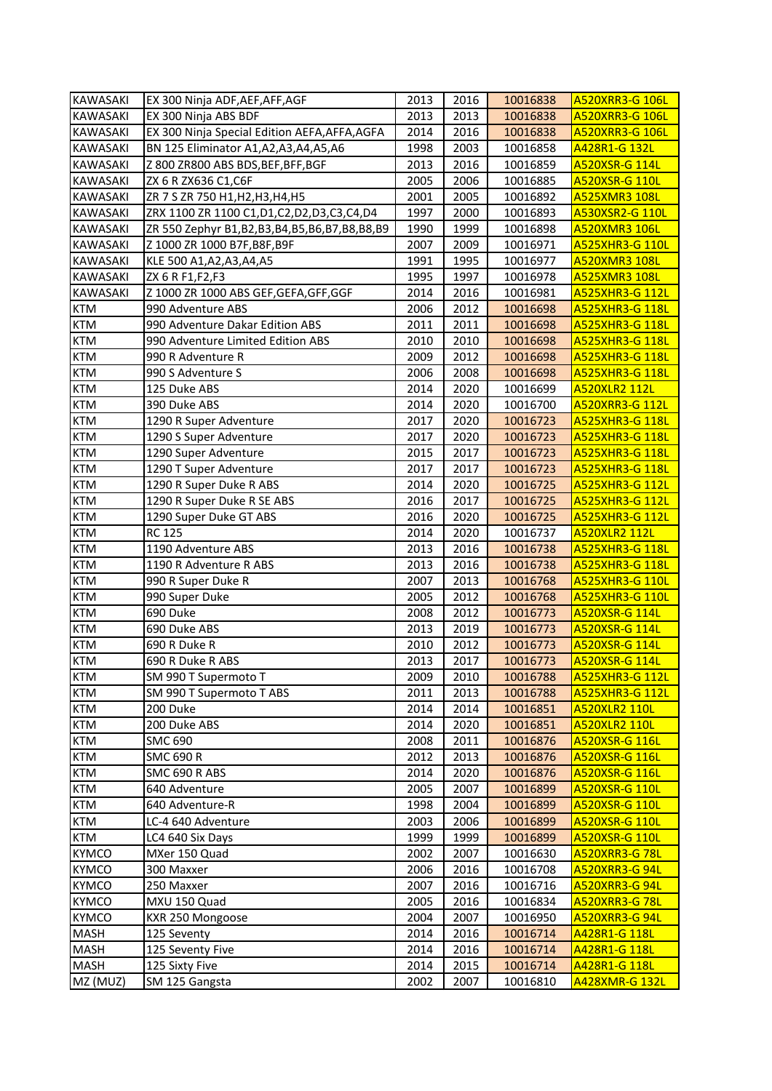| <b>KAWASAKI</b> | EX 300 Ninja ADF, AEF, AFF, AGF                 | 2013 | 2016 | 10016838 | <b>A520XRR3-G 106L</b> |
|-----------------|-------------------------------------------------|------|------|----------|------------------------|
| <b>KAWASAKI</b> | EX 300 Ninja ABS BDF                            | 2013 | 2013 | 10016838 | A520XRR3-G 106L        |
| <b>KAWASAKI</b> | EX 300 Ninja Special Edition AEFA, AFFA, AGFA   | 2014 | 2016 | 10016838 | <b>A520XRR3-G 106L</b> |
| <b>KAWASAKI</b> | BN 125 Eliminator A1, A2, A3, A4, A5, A6        | 1998 | 2003 | 10016858 | A428R1-G 132L          |
| <b>KAWASAKI</b> | Z 800 ZR800 ABS BDS, BEF, BFF, BGF              | 2013 | 2016 | 10016859 | A520XSR-G 114L         |
| <b>KAWASAKI</b> | ZX 6 R ZX636 C1, C6F                            | 2005 | 2006 | 10016885 | A520XSR-G 110L         |
| <b>KAWASAKI</b> | ZR 7 S ZR 750 H1, H2, H3, H4, H5                | 2001 | 2005 | 10016892 | <b>A525XMR3 108L</b>   |
| <b>KAWASAKI</b> | ZRX 1100 ZR 1100 C1, D1, C2, D2, D3, C3, C4, D4 | 1997 | 2000 | 10016893 | A530XSR2-G 110L        |
| <b>KAWASAKI</b> | ZR 550 Zephyr B1,B2,B3,B4,B5,B6,B7,B8,B8,B9     | 1990 | 1999 | 10016898 | <b>A520XMR3 106L</b>   |
| <b>KAWASAKI</b> | Z 1000 ZR 1000 B7F, B8F, B9F                    | 2007 | 2009 | 10016971 | <b>A525XHR3-G 110L</b> |
| <b>KAWASAKI</b> | KLE 500 A1, A2, A3, A4, A5                      | 1991 | 1995 | 10016977 | <b>A520XMR3 108L</b>   |
| <b>KAWASAKI</b> | ZX 6 R F1, F2, F3                               | 1995 | 1997 | 10016978 | <b>A525XMR3 108L</b>   |
| <b>KAWASAKI</b> | Z 1000 ZR 1000 ABS GEF, GEFA, GFF, GGF          | 2014 | 2016 | 10016981 | A525XHR3-G 112L        |
| <b>KTM</b>      | 990 Adventure ABS                               | 2006 | 2012 | 10016698 | <b>A525XHR3-G 118L</b> |
| <b>KTM</b>      | 990 Adventure Dakar Edition ABS                 | 2011 | 2011 | 10016698 | <b>A525XHR3-G 118L</b> |
| <b>KTM</b>      | 990 Adventure Limited Edition ABS               | 2010 | 2010 | 10016698 | <b>A525XHR3-G 118L</b> |
| <b>KTM</b>      | 990 R Adventure R                               | 2009 | 2012 | 10016698 | <b>A525XHR3-G 118L</b> |
| <b>KTM</b>      | 990 S Adventure S                               | 2006 | 2008 | 10016698 | <b>A525XHR3-G 118L</b> |
| <b>KTM</b>      | 125 Duke ABS                                    | 2014 | 2020 | 10016699 | A520XLR2 112L          |
| <b>KTM</b>      | 390 Duke ABS                                    | 2014 | 2020 | 10016700 | <b>A520XRR3-G 112L</b> |
| <b>KTM</b>      | 1290 R Super Adventure                          | 2017 | 2020 | 10016723 | <b>A525XHR3-G 118L</b> |
| <b>KTM</b>      | 1290 S Super Adventure                          | 2017 | 2020 | 10016723 | <b>A525XHR3-G 118L</b> |
| <b>KTM</b>      | 1290 Super Adventure                            | 2015 | 2017 | 10016723 | <b>A525XHR3-G 118L</b> |
| <b>KTM</b>      | 1290 T Super Adventure                          | 2017 | 2017 | 10016723 | <b>A525XHR3-G 118L</b> |
| <b>KTM</b>      | 1290 R Super Duke R ABS                         | 2014 | 2020 | 10016725 | <b>A525XHR3-G 112L</b> |
| <b>KTM</b>      | 1290 R Super Duke R SE ABS                      | 2016 | 2017 | 10016725 | <b>A525XHR3-G 112L</b> |
| <b>KTM</b>      | 1290 Super Duke GT ABS                          | 2016 | 2020 | 10016725 | <b>A525XHR3-G 112L</b> |
| <b>KTM</b>      | <b>RC 125</b>                                   | 2014 | 2020 | 10016737 | <b>A520XLR2 112L</b>   |
| <b>KTM</b>      | 1190 Adventure ABS                              | 2013 | 2016 | 10016738 | <b>A525XHR3-G 118L</b> |
| <b>KTM</b>      | 1190 R Adventure R ABS                          | 2013 | 2016 | 10016738 | <b>A525XHR3-G 118L</b> |
| <b>KTM</b>      | 990 R Super Duke R                              | 2007 | 2013 | 10016768 | <b>A525XHR3-G 110L</b> |
| <b>KTM</b>      | 990 Super Duke                                  | 2005 | 2012 | 10016768 | <b>A525XHR3-G 110L</b> |
| <b>KTM</b>      | 690 Duke                                        | 2008 | 2012 | 10016773 | A520XSR-G 114L         |
| <b>KTM</b>      | 690 Duke ABS                                    | 2013 | 2019 | 10016773 | A520XSR-G 114L         |
| <b>KTM</b>      | 690 R Duke R                                    | 2010 | 2012 | 10016773 | A520XSR-G 114L         |
| <b>KTM</b>      | 690 R Duke R ABS                                | 2013 | 2017 | 10016773 | A520XSR-G 114L         |
| <b>KTM</b>      | SM 990 T Supermoto T                            | 2009 | 2010 | 10016788 | A525XHR3-G 112L        |
| <b>KTM</b>      | SM 990 T Supermoto T ABS                        | 2011 | 2013 | 10016788 | <b>A525XHR3-G 112L</b> |
| <b>KTM</b>      | 200 Duke                                        | 2014 | 2014 | 10016851 | <b>A520XLR2 110L</b>   |
| <b>KTM</b>      | 200 Duke ABS                                    | 2014 | 2020 | 10016851 | <b>A520XLR2 110L</b>   |
| <b>KTM</b>      | <b>SMC 690</b>                                  | 2008 | 2011 | 10016876 | A520XSR-G 116L         |
| <b>KTM</b>      | <b>SMC 690 R</b>                                | 2012 | 2013 | 10016876 | A520XSR-G 116L         |
| <b>KTM</b>      | SMC 690 R ABS                                   | 2014 | 2020 | 10016876 | A520XSR-G 116L         |
| <b>KTM</b>      | 640 Adventure                                   | 2005 | 2007 | 10016899 | A520XSR-G 110L         |
| <b>KTM</b>      | 640 Adventure-R                                 | 1998 | 2004 | 10016899 | A520XSR-G 110L         |
| <b>KTM</b>      | LC-4 640 Adventure                              | 2003 | 2006 | 10016899 | A520XSR-G 110L         |
| <b>KTM</b>      | LC4 640 Six Days                                | 1999 | 1999 | 10016899 | A520XSR-G 110L         |
| <b>KYMCO</b>    | MXer 150 Quad                                   | 2002 | 2007 | 10016630 | <b>A520XRR3-G 78L</b>  |
| <b>KYMCO</b>    | 300 Maxxer                                      | 2006 | 2016 | 10016708 | <b>A520XRR3-G 94L</b>  |
| <b>KYMCO</b>    | 250 Maxxer                                      | 2007 | 2016 | 10016716 | A520XRR3-G 94L         |
| <b>KYMCO</b>    | MXU 150 Quad                                    | 2005 | 2016 | 10016834 | <b>A520XRR3-G 78L</b>  |
| <b>KYMCO</b>    | KXR 250 Mongoose                                | 2004 | 2007 | 10016950 | A520XRR3-G 94L         |
| <b>MASH</b>     | 125 Seventy                                     | 2014 | 2016 | 10016714 | A428R1-G 118L          |
| <b>MASH</b>     | 125 Seventy Five                                | 2014 | 2016 | 10016714 | <u>A428R1-G 118L</u>   |
| <b>MASH</b>     | 125 Sixty Five                                  | 2014 | 2015 | 10016714 | A428R1-G 118L          |
| MZ (MUZ)        | SM 125 Gangsta                                  | 2002 | 2007 | 10016810 | A428XMR-G 132L         |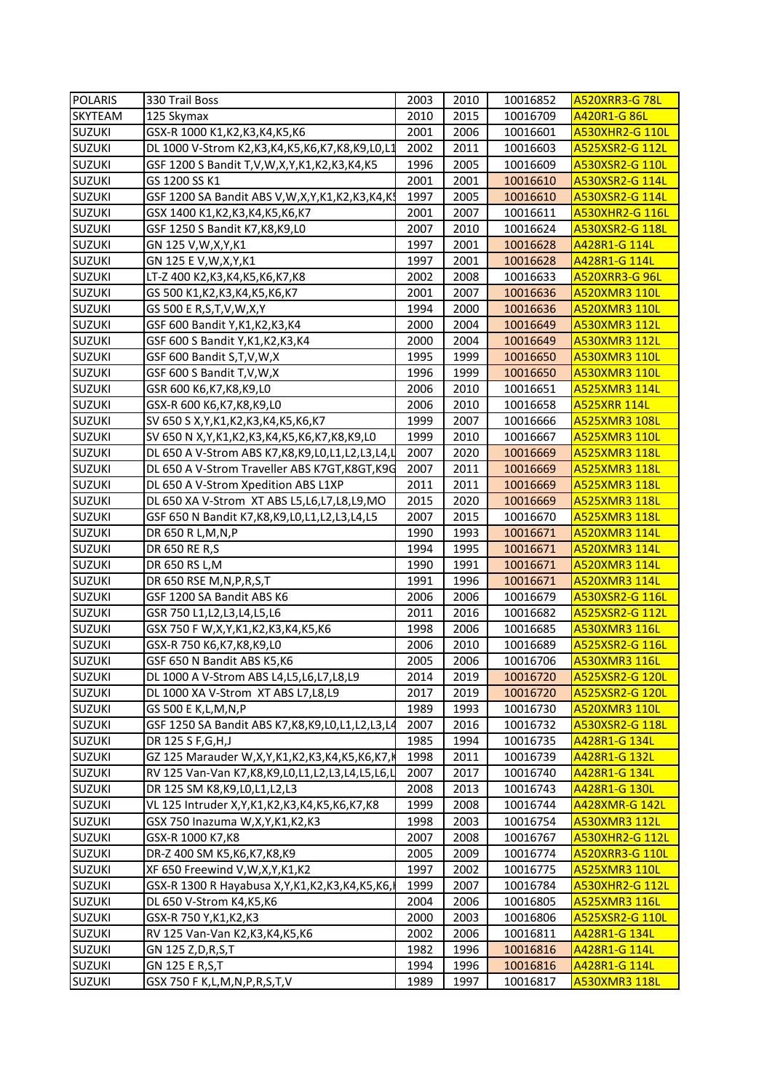| <b>POLARIS</b> | 330 Trail Boss                                           | 2003 | 2010 | 10016852 | <b>A520XRR3-G78L</b>   |
|----------------|----------------------------------------------------------|------|------|----------|------------------------|
| SKYTEAM        | 125 Skymax                                               | 2010 | 2015 | 10016709 | A420R1-G 86L           |
| <b>SUZUKI</b>  | GSX-R 1000 K1, K2, K3, K4, K5, K6                        | 2001 | 2006 | 10016601 | <b>A530XHR2-G 110L</b> |
| <b>SUZUKI</b>  | DL 1000 V-Strom K2, K3, K4, K5, K6, K7, K8, K9, L0, L1   | 2002 | 2011 | 10016603 | A525XSR2-G 112L        |
| <b>SUZUKI</b>  | GSF 1200 S Bandit T,V,W,X,Y,K1,K2,K3,K4,K5               | 1996 | 2005 | 10016609 | A530XSR2-G 110L        |
| <b>SUZUKI</b>  | GS 1200 SS K1                                            | 2001 | 2001 | 10016610 | A530XSR2-G 114L        |
| <b>SUZUKI</b>  | GSF 1200 SA Bandit ABS V, W, X, Y, K1, K2, K3, K4, K!    | 1997 | 2005 | 10016610 | A530XSR2-G 114L        |
| <b>SUZUKI</b>  | GSX 1400 K1, K2, K3, K4, K5, K6, K7                      | 2001 | 2007 | 10016611 | <b>A530XHR2-G 116L</b> |
| <b>SUZUKI</b>  | GSF 1250 S Bandit K7, K8, K9, L0                         | 2007 | 2010 | 10016624 | A530XSR2-G 118L        |
| <b>SUZUKI</b>  | GN 125 V, W, X, Y, K1                                    | 1997 | 2001 | 10016628 | A428R1-G 114L          |
| <b>SUZUKI</b>  | GN 125 E V, W, X, Y, K1                                  | 1997 | 2001 | 10016628 | A428R1-G 114L          |
| <b>SUZUKI</b>  | LT-Z 400 K2, K3, K4, K5, K6, K7, K8                      | 2002 | 2008 | 10016633 | <b>A520XRR3-G 96L</b>  |
| <b>SUZUKI</b>  | GS 500 K1, K2, K3, K4, K5, K6, K7                        | 2001 | 2007 | 10016636 | <b>A520XMR3 110L</b>   |
| <b>SUZUKI</b>  | GS 500 E R, S, T, V, W, X, Y                             | 1994 | 2000 | 10016636 | A520XMR3 110L          |
| <b>SUZUKI</b>  | GSF 600 Bandit Y, K1, K2, K3, K4                         | 2000 | 2004 | 10016649 | <b>A530XMR3 112L</b>   |
| <b>SUZUKI</b>  | GSF 600 S Bandit Y, K1, K2, K3, K4                       | 2000 | 2004 | 10016649 | A530XMR3 112L          |
| <b>SUZUKI</b>  | GSF 600 Bandit S, T, V, W, X                             | 1995 | 1999 | 10016650 | A530XMR3 110L          |
| <b>SUZUKI</b>  | GSF 600 S Bandit T,V,W,X                                 | 1996 | 1999 | 10016650 | A530XMR3 110L          |
| <b>SUZUKI</b>  | GSR 600 K6,K7,K8,K9,L0                                   | 2006 | 2010 | 10016651 | A525XMR3 114L          |
| SUZUKI         | GSX-R 600 K6,K7,K8,K9,L0                                 | 2006 | 2010 | 10016658 | <b>A525XRR 114L</b>    |
| <b>SUZUKI</b>  | SV 650 S X, Y, K1, K2, K3, K4, K5, K6, K7                | 1999 | 2007 | 10016666 | <b>A525XMR3 108L</b>   |
| <b>SUZUKI</b>  | SV 650 N X, Y, K1, K2, K3, K4, K5, K6, K7, K8, K9, L0    | 1999 | 2010 | 10016667 | <b>A525XMR3 110L</b>   |
| <b>SUZUKI</b>  | DL 650 A V-Strom ABS K7, K8, K9, L0, L1, L2, L3, L4, L   | 2007 | 2020 | 10016669 | A525XMR3 118L          |
| <b>SUZUKI</b>  | DL 650 A V-Strom Traveller ABS K7GT, K8GT, K9G           | 2007 | 2011 | 10016669 | A525XMR3 118L          |
| <b>SUZUKI</b>  | DL 650 A V-Strom Xpedition ABS L1XP                      | 2011 | 2011 | 10016669 | A525XMR3 118L          |
| <b>SUZUKI</b>  |                                                          | 2015 | 2020 | 10016669 | A525XMR3 118L          |
|                | DL 650 XA V-Strom XT ABS L5, L6, L7, L8, L9, MO          |      |      |          |                        |
| <b>SUZUKI</b>  | GSF 650 N Bandit K7, K8, K9, L0, L1, L2, L3, L4, L5      | 2007 | 2015 | 10016670 | A525XMR3 118L          |
| <b>SUZUKI</b>  | DR 650 R L, M, N, P                                      | 1990 | 1993 | 10016671 | <b>A520XMR3 114L</b>   |
| <b>SUZUKI</b>  | DR 650 RE R,S                                            | 1994 | 1995 | 10016671 | A520XMR3 114L          |
| <b>SUZUKI</b>  | DR 650 RS L, M                                           | 1990 | 1991 | 10016671 | A520XMR3 114L          |
| <b>SUZUKI</b>  | DR 650 RSE M, N, P, R, S, T                              | 1991 | 1996 | 10016671 | A520XMR3 114L          |
| <b>SUZUKI</b>  | GSF 1200 SA Bandit ABS K6                                | 2006 | 2006 | 10016679 | A530XSR2-G 116L        |
| <b>SUZUKI</b>  | GSR 750 L1, L2, L3, L4, L5, L6                           | 2011 | 2016 | 10016682 | A525XSR2-G 112L        |
| <b>SUZUKI</b>  | GSX 750 F W, X, Y, K1, K2, K3, K4, K5, K6                | 1998 | 2006 | 10016685 | A530XMR3 116L          |
| <b>SUZUKI</b>  | GSX-R 750 K6,K7,K8,K9,L0                                 | 2006 | 2010 | 10016689 | A525XSR2-G 116L        |
| <b>SUZUKI</b>  | GSF 650 N Bandit ABS K5,K6                               | 2005 | 2006 | 10016706 | <b>A530XMR3 116L</b>   |
| <b>SUZUKI</b>  | DL 1000 A V-Strom ABS L4, L5, L6, L7, L8, L9             | 2014 | 2019 | 10016720 | <b>A525XSR2-G 120L</b> |
| <b>SUZUKI</b>  | DL 1000 XA V-Strom XT ABS L7, L8, L9                     | 2017 | 2019 | 10016720 | A525XSR2-G 120L        |
| <b>SUZUKI</b>  | GS 500 E K,L,M,N,P                                       | 1989 | 1993 | 10016730 | <b>A520XMR3 110L</b>   |
| <b>SUZUKI</b>  | GSF 1250 SA Bandit ABS K7, K8, K9, L0, L1, L2, L3, L4    | 2007 | 2016 | 10016732 | A530XSR2-G 118L        |
| <b>SUZUKI</b>  | DR 125 S F, G, H, J                                      | 1985 | 1994 | 10016735 | A428R1-G 134L          |
| <b>SUZUKI</b>  | GZ 125 Marauder W,X,Y,K1,K2,K3,K4,K5,K6,K7,K             | 1998 | 2011 | 10016739 | A428R1-G 132L          |
| <b>SUZUKI</b>  | RV 125 Van-Van K7, K8, K9, L0, L1, L2, L3, L4, L5, L6, L | 2007 | 2017 | 10016740 | A428R1-G 134L          |
| <b>SUZUKI</b>  | DR 125 SM K8, K9, L0, L1, L2, L3                         | 2008 | 2013 | 10016743 | A428R1-G 130L          |
| <b>SUZUKI</b>  | VL 125 Intruder X, Y, K1, K2, K3, K4, K5, K6, K7, K8     | 1999 | 2008 | 10016744 | A428XMR-G 142L         |
| <b>SUZUKI</b>  | GSX 750 Inazuma W,X,Y,K1,K2,K3                           | 1998 | 2003 | 10016754 | A530XMR3 112L          |
| <b>SUZUKI</b>  |                                                          | 2007 | 2008 | 10016767 | <b>A530XHR2-G 112L</b> |
|                | GSX-R 1000 K7, K8                                        |      |      |          |                        |
| <b>SUZUKI</b>  | DR-Z 400 SM K5, K6, K7, K8, K9                           | 2005 | 2009 | 10016774 | A520XRR3-G 110L        |
| <b>SUZUKI</b>  | XF 650 Freewind V, W, X, Y, K1, K2                       | 1997 | 2002 | 10016775 | A525XMR3 110L          |
| <b>SUZUKI</b>  | GSX-R 1300 R Hayabusa X, Y, K1, K2, K3, K4, K5, K6,      | 1999 | 2007 | 10016784 | <b>A530XHR2-G 112L</b> |
| <b>SUZUKI</b>  | DL 650 V-Strom K4,K5,K6                                  | 2004 | 2006 | 10016805 | A525XMR3 116L          |
| <b>SUZUKI</b>  | GSX-R 750 Y,K1,K2,K3                                     | 2000 | 2003 | 10016806 | A525XSR2-G 110L        |
| <b>SUZUKI</b>  | RV 125 Van-Van K2, K3, K4, K5, K6                        | 2002 | 2006 | 10016811 | A428R1-G 134L          |
| <b>SUZUKI</b>  | GN 125 Z,D,R,S,T                                         | 1982 | 1996 | 10016816 | A428R1-G 114L          |
| <b>SUZUKI</b>  | GN 125 E R,S,T                                           | 1994 | 1996 | 10016816 | A428R1-G 114L          |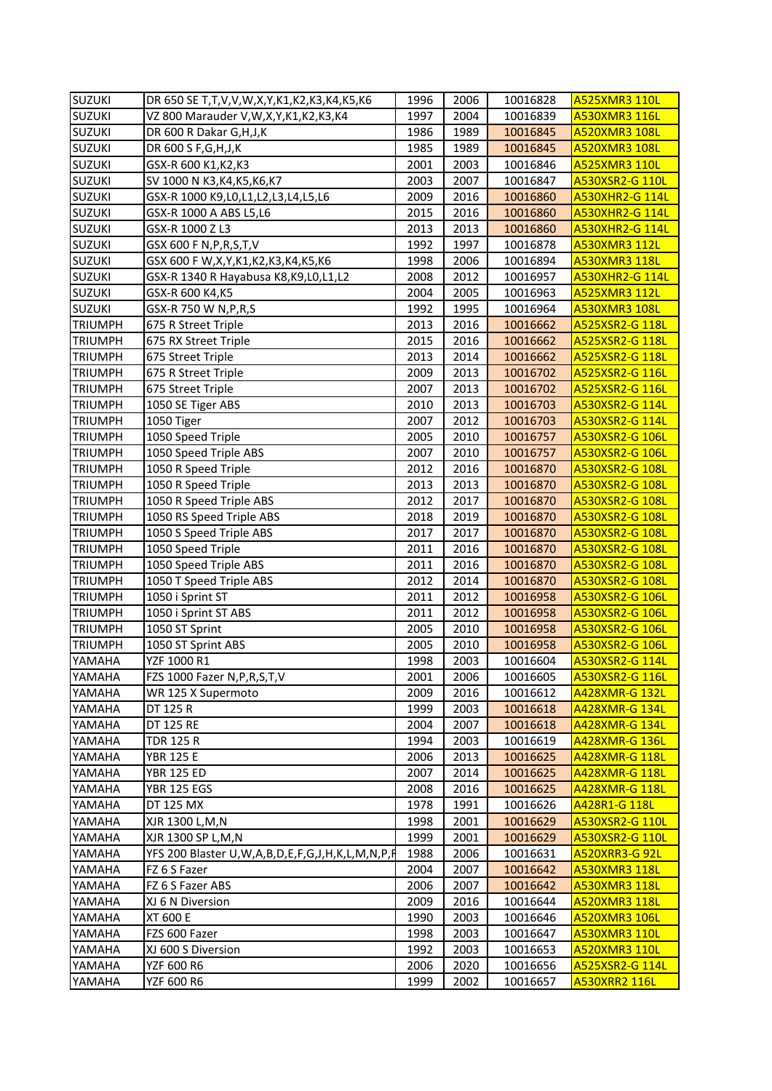| <b>SUZUKI</b>  | DR 650 SE T, T, V, V, W, X, Y, K1, K2, K3, K4, K5, K6          | 1996 | 2006 | 10016828 | <b>A525XMR3 110L</b>   |
|----------------|----------------------------------------------------------------|------|------|----------|------------------------|
| <b>SUZUKI</b>  | VZ 800 Marauder V, W, X, Y, K1, K2, K3, K4                     | 1997 | 2004 | 10016839 | A530XMR3 116L          |
| <b>SUZUKI</b>  | DR 600 R Dakar G, H, J, K                                      | 1986 | 1989 | 10016845 | <b>A520XMR3 108L</b>   |
| <b>SUZUKI</b>  | DR 600 S F, G, H, J, K                                         | 1985 | 1989 | 10016845 | A520XMR3 108L          |
| <b>SUZUKI</b>  | GSX-R 600 K1, K2, K3                                           | 2001 | 2003 | 10016846 | A525XMR3 110L          |
| <b>SUZUKI</b>  | SV 1000 N K3, K4, K5, K6, K7                                   | 2003 | 2007 | 10016847 | A530XSR2-G 110L        |
| <b>SUZUKI</b>  | GSX-R 1000 K9,L0,L1,L2,L3,L4,L5,L6                             | 2009 | 2016 | 10016860 | <b>A530XHR2-G 114L</b> |
| <b>SUZUKI</b>  | GSX-R 1000 A ABS L5,L6                                         | 2015 | 2016 | 10016860 | <b>A530XHR2-G 114L</b> |
| <b>SUZUKI</b>  | GSX-R 1000 Z L3                                                | 2013 | 2013 | 10016860 | <b>A530XHR2-G 114L</b> |
| <b>SUZUKI</b>  | GSX 600 F N, P, R, S, T, V                                     | 1992 | 1997 | 10016878 | A530XMR3 112L          |
| <b>SUZUKI</b>  | GSX 600 F W, X, Y, K1, K2, K3, K4, K5, K6                      | 1998 | 2006 | 10016894 | A530XMR3 118L          |
| <b>SUZUKI</b>  | GSX-R 1340 R Hayabusa K8, K9, L0, L1, L2                       | 2008 | 2012 | 10016957 | <b>A530XHR2-G 114L</b> |
| <b>SUZUKI</b>  | GSX-R 600 K4,K5                                                | 2004 | 2005 | 10016963 | A525XMR3 112L          |
| <b>SUZUKI</b>  | GSX-R 750 W N, P, R, S                                         | 1992 | 1995 | 10016964 | A530XMR3 108L          |
| <b>TRIUMPH</b> | 675 R Street Triple                                            | 2013 | 2016 | 10016662 | A525XSR2-G 118L        |
| <b>TRIUMPH</b> | 675 RX Street Triple                                           | 2015 | 2016 | 10016662 | A525XSR2-G 118L        |
| <b>TRIUMPH</b> | 675 Street Triple                                              | 2013 | 2014 | 10016662 | A525XSR2-G 118L        |
| <b>TRIUMPH</b> | 675 R Street Triple                                            | 2009 | 2013 | 10016702 | A525XSR2-G 116L        |
| <b>TRIUMPH</b> | 675 Street Triple                                              | 2007 | 2013 | 10016702 | A525XSR2-G 116L        |
| <b>TRIUMPH</b> | 1050 SE Tiger ABS                                              | 2010 | 2013 | 10016703 | A530XSR2-G 114L        |
| <b>TRIUMPH</b> | 1050 Tiger                                                     | 2007 | 2012 | 10016703 | A530XSR2-G 114L        |
| <b>TRIUMPH</b> | 1050 Speed Triple                                              | 2005 | 2010 | 10016757 | A530XSR2-G 106L        |
| TRIUMPH        | 1050 Speed Triple ABS                                          | 2007 | 2010 | 10016757 | A530XSR2-G 106L        |
| TRIUMPH        | 1050 R Speed Triple                                            | 2012 | 2016 | 10016870 | A530XSR2-G 108L        |
| <b>TRIUMPH</b> | 1050 R Speed Triple                                            | 2013 | 2013 | 10016870 | A530XSR2-G 108L        |
| <b>TRIUMPH</b> | 1050 R Speed Triple ABS                                        | 2012 | 2017 | 10016870 | A530XSR2-G 108L        |
| <b>TRIUMPH</b> | 1050 RS Speed Triple ABS                                       | 2018 | 2019 | 10016870 | A530XSR2-G 108L        |
| <b>TRIUMPH</b> | 1050 S Speed Triple ABS                                        | 2017 | 2017 | 10016870 | A530XSR2-G 108L        |
| <b>TRIUMPH</b> | 1050 Speed Triple                                              | 2011 | 2016 | 10016870 | A530XSR2-G 108L        |
| <b>TRIUMPH</b> | 1050 Speed Triple ABS                                          | 2011 | 2016 | 10016870 | A530XSR2-G 108L        |
| <b>TRIUMPH</b> | 1050 T Speed Triple ABS                                        | 2012 | 2014 | 10016870 | A530XSR2-G 108L        |
| <b>TRIUMPH</b> | 1050 i Sprint ST                                               | 2011 | 2012 | 10016958 | A530XSR2-G 106L        |
| <b>TRIUMPH</b> | 1050 i Sprint ST ABS                                           | 2011 | 2012 | 10016958 | A530XSR2-G 106L        |
| <b>TRIUMPH</b> | 1050 ST Sprint                                                 | 2005 | 2010 | 10016958 | A530XSR2-G 106L        |
| <b>TRIUMPH</b> | 1050 ST Sprint ABS                                             | 2005 | 2010 | 10016958 | A530XSR2-G 106L        |
| YAMAHA         | YZF 1000 R1                                                    | 1998 | 2003 | 10016604 | A530XSR2-G 114L        |
| YAMAHA         | FZS 1000 Fazer N, P, R, S, T, V                                | 2001 | 2006 | 10016605 | A530XSR2-G 116L        |
| YAMAHA         | WR 125 X Supermoto                                             | 2009 | 2016 | 10016612 | A428XMR-G 132L         |
| YAMAHA         | DT 125 R                                                       | 1999 | 2003 | 10016618 | <b>A428XMR-G 134L</b>  |
| YAMAHA         | DT 125 RE                                                      | 2004 | 2007 | 10016618 | <b>A428XMR-G 134L</b>  |
| YAMAHA         | TDR 125 R                                                      | 1994 | 2003 | 10016619 | A428XMR-G 136L         |
| YAMAHA         | <b>YBR 125 E</b>                                               | 2006 | 2013 | 10016625 | A428XMR-G 118L         |
| YAMAHA         | <b>YBR 125 ED</b>                                              | 2007 | 2014 | 10016625 | A428XMR-G 118L         |
| YAMAHA         | <b>YBR 125 EGS</b>                                             | 2008 | 2016 | 10016625 | A428XMR-G 118L         |
| YAMAHA         | DT 125 MX                                                      | 1978 | 1991 | 10016626 | A428R1-G 118L          |
| YAMAHA         | XJR 1300 L, M, N                                               | 1998 | 2001 | 10016629 | A530XSR2-G 110L        |
| YAMAHA         | XJR 1300 SP L, M, N                                            | 1999 | 2001 | 10016629 | A530XSR2-G 110L        |
| YAMAHA         | YFS 200 Blaster U, W, A, B, D, E, F, G, J, H, K, L, M, N, P, F | 1988 | 2006 | 10016631 | A520XRR3-G 92L         |
| YAMAHA         | FZ 6 S Fazer                                                   | 2004 | 2007 | 10016642 | A530XMR3 118L          |
| YAMAHA         | FZ 6 S Fazer ABS                                               | 2006 | 2007 | 10016642 | A530XMR3 118L          |
| YAMAHA         | XJ 6 N Diversion                                               | 2009 | 2016 | 10016644 | A520XMR3 118L          |
| YAMAHA         | <b>XT 600 E</b>                                                | 1990 | 2003 | 10016646 | A520XMR3 106L          |
| YAMAHA         | FZS 600 Fazer                                                  | 1998 | 2003 | 10016647 | A530XMR3 110L          |
| YAMAHA         | XJ 600 S Diversion                                             | 1992 | 2003 | 10016653 | A520XMR3 110L          |
| YAMAHA         | YZF 600 R6                                                     | 2006 | 2020 | 10016656 | A525XSR2-G 114L        |
| YAMAHA         | YZF 600 R6                                                     | 1999 | 2002 | 10016657 | A530XRR2 116L          |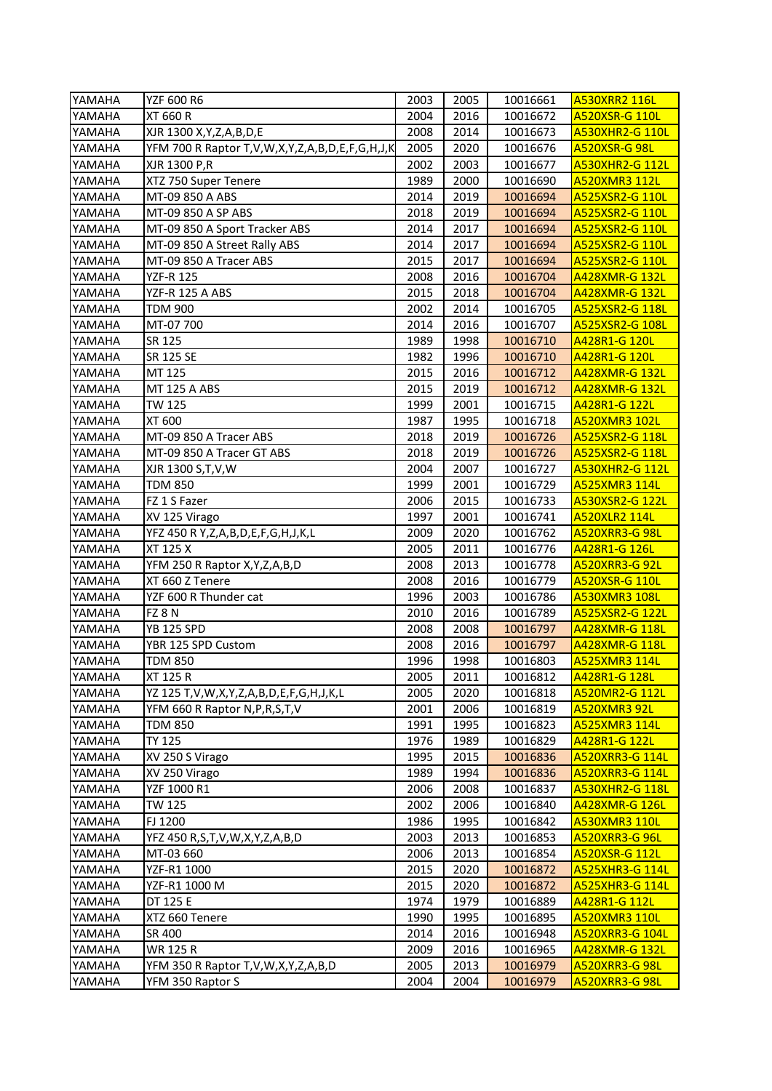| YAMAHA | YZF 600 R6                                                   | 2003 | 2005 | 10016661 | <b>A530XRR2 116L</b>   |
|--------|--------------------------------------------------------------|------|------|----------|------------------------|
| YAMAHA | <b>XT 660 R</b>                                              | 2004 | 2016 | 10016672 | A520XSR-G 110L         |
| YAMAHA | XJR 1300 X, Y, Z, A, B, D, E                                 | 2008 | 2014 | 10016673 | <b>A530XHR2-G 110L</b> |
| YAMAHA | YFM 700 R Raptor T, V, W, X, Y, Z, A, B, D, E, F, G, H, J, K | 2005 | 2020 | 10016676 | <b>A520XSR-G 98L</b>   |
| YAMAHA | XJR 1300 P,R                                                 | 2002 | 2003 | 10016677 | A530XHR2-G 112L        |
| YAMAHA | XTZ 750 Super Tenere                                         | 1989 | 2000 | 10016690 | A520XMR3 112L          |
| YAMAHA | MT-09 850 A ABS                                              | 2014 | 2019 | 10016694 | A525XSR2-G 110L        |
| YAMAHA | MT-09 850 A SP ABS                                           | 2018 | 2019 | 10016694 | A525XSR2-G 110L        |
| YAMAHA | MT-09 850 A Sport Tracker ABS                                | 2014 | 2017 | 10016694 | A525XSR2-G 110L        |
| YAMAHA | MT-09 850 A Street Rally ABS                                 | 2014 | 2017 | 10016694 | A525XSR2-G 110L        |
| YAMAHA | MT-09 850 A Tracer ABS                                       | 2015 | 2017 | 10016694 | A525XSR2-G 110L        |
| YAMAHA | <b>YZF-R 125</b>                                             | 2008 | 2016 | 10016704 | A428XMR-G 132L         |
| YAMAHA | YZF-R 125 A ABS                                              | 2015 | 2018 | 10016704 | <b>A428XMR-G 132L</b>  |
| YAMAHA | <b>TDM 900</b>                                               | 2002 | 2014 | 10016705 | A525XSR2-G 118L        |
| YAMAHA | MT-07 700                                                    | 2014 | 2016 | 10016707 | A525XSR2-G 108L        |
| YAMAHA | SR 125                                                       | 1989 | 1998 | 10016710 | A428R1-G 120L          |
| YAMAHA | SR 125 SE                                                    | 1982 | 1996 | 10016710 | A428R1-G 120L          |
| YAMAHA | MT 125                                                       | 2015 | 2016 | 10016712 | A428XMR-G 132L         |
| YAMAHA | MT 125 A ABS                                                 | 2015 | 2019 | 10016712 | A428XMR-G 132L         |
| YAMAHA | TW 125                                                       | 1999 | 2001 | 10016715 | A428R1-G 122L          |
| YAMAHA | XT 600                                                       | 1987 | 1995 | 10016718 | A520XMR3 102L          |
| YAMAHA | MT-09 850 A Tracer ABS                                       | 2018 | 2019 | 10016726 | A525XSR2-G 118L        |
| YAMAHA | MT-09 850 A Tracer GT ABS                                    | 2018 | 2019 | 10016726 | A525XSR2-G 118L        |
| YAMAHA | XJR 1300 S, T, V, W                                          | 2004 | 2007 | 10016727 | <b>A530XHR2-G 112L</b> |
| YAMAHA | <b>TDM 850</b>                                               | 1999 | 2001 | 10016729 | <b>A525XMR3 114L</b>   |
| YAMAHA | FZ 1 S Fazer                                                 | 2006 | 2015 | 10016733 | A530XSR2-G 122L        |
| YAMAHA | XV 125 Virago                                                | 1997 | 2001 | 10016741 | <b>A520XLR2 114L</b>   |
| YAMAHA | YFZ 450 R Y, Z, A, B, D, E, F, G, H, J, K, L                 | 2009 | 2020 | 10016762 | <b>A520XRR3-G98L</b>   |
| YAMAHA | XT 125 X                                                     | 2005 | 2011 | 10016776 | A428R1-G 126L          |
| YAMAHA | YFM 250 R Raptor X, Y, Z, A, B, D                            | 2008 | 2013 | 10016778 | <b>A520XRR3-G 92L</b>  |
| YAMAHA | XT 660 Z Tenere                                              | 2008 | 2016 | 10016779 | A520XSR-G 110L         |
| YAMAHA | YZF 600 R Thunder cat                                        | 1996 | 2003 | 10016786 | A530XMR3 108L          |
| YAMAHA | FZ 8N                                                        | 2010 | 2016 | 10016789 | A525XSR2-G 122L        |
| YAMAHA | <b>YB 125 SPD</b>                                            | 2008 | 2008 | 10016797 | A428XMR-G 118L         |
| YAMAHA | YBR 125 SPD Custom                                           | 2008 | 2016 | 10016797 | A428XMR-G 118L         |
| YAMAHA | <b>TDM 850</b>                                               | 1996 | 1998 | 10016803 | <b>A525XMR3 114L</b>   |
| YAMAHA | XT 125 R                                                     | 2005 | 2011 | 10016812 | <u> A428R1-G 128L</u>  |
| YAMAHA | YZ 125 T, V, W, X, Y, Z, A, B, D, E, F, G, H, J, K, L        | 2005 | 2020 | 10016818 | <b>A520MR2-G 112L</b>  |
| YAMAHA | YFM 660 R Raptor N, P, R, S, T, V                            | 2001 | 2006 | 10016819 | <b>A520XMR3 92L</b>    |
| YAMAHA | <b>TDM 850</b>                                               | 1991 | 1995 | 10016823 | A525XMR3 114L          |
| YAMAHA | <b>TY 125</b>                                                | 1976 | 1989 | 10016829 | A428R1-G 122L          |
| YAMAHA | XV 250 S Virago                                              | 1995 | 2015 | 10016836 | A520XRR3-G 114L        |
| YAMAHA | XV 250 Virago                                                | 1989 | 1994 | 10016836 | <b>A520XRR3-G 114L</b> |
| YAMAHA | YZF 1000 R1                                                  | 2006 | 2008 | 10016837 | A530XHR2-G 118L        |
| YAMAHA | TW 125                                                       | 2002 | 2006 | 10016840 | A428XMR-G 126L         |
| YAMAHA | FJ 1200                                                      | 1986 | 1995 | 10016842 | <b>A530XMR3 110L</b>   |
| YAMAHA | YFZ 450 R,S,T,V,W,X,Y,Z,A,B,D                                | 2003 | 2013 | 10016853 | A520XRR3-G 96L         |
| YAMAHA | MT-03 660                                                    | 2006 | 2013 | 10016854 | A520XSR-G 112L         |
| YAMAHA | YZF-R1 1000                                                  | 2015 | 2020 | 10016872 | <b>A525XHR3-G 114L</b> |
| YAMAHA | YZF-R1 1000 M                                                | 2015 | 2020 | 10016872 | <b>A525XHR3-G 114L</b> |
| YAMAHA | DT 125 E                                                     | 1974 | 1979 | 10016889 | A428R1-G 112L          |
| YAMAHA | XTZ 660 Tenere                                               | 1990 | 1995 | 10016895 | A520XMR3 110L          |
| YAMAHA | SR 400                                                       | 2014 | 2016 | 10016948 | A520XRR3-G 104L        |
| YAMAHA | WR 125 R                                                     | 2009 | 2016 | 10016965 | A428XMR-G 132L         |
| YAMAHA | YFM 350 R Raptor T,V,W,X,Y,Z,A,B,D                           | 2005 | 2013 | 10016979 | A520XRR3-G 98L         |
| YAMAHA | YFM 350 Raptor S                                             | 2004 | 2004 | 10016979 | A520XRR3-G 98L         |
|        |                                                              |      |      |          |                        |